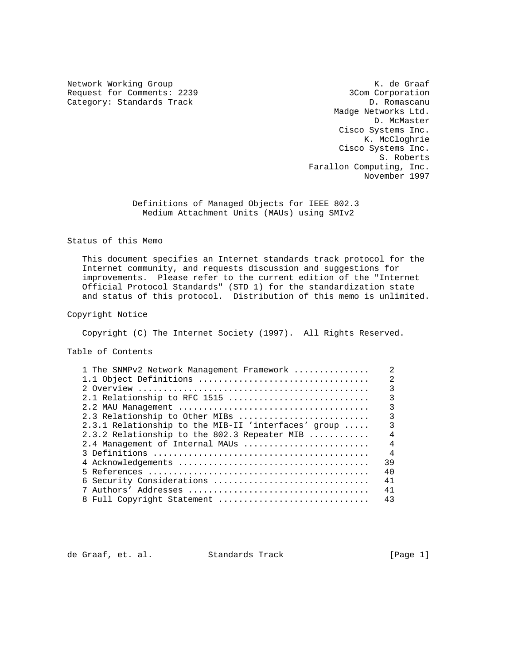Request for Comments: 2239 3Com Corporation<br>
Category: Standards Track 51 2008 1999 1. Romascanu Category: Standards Track

Network Working Group and Month Communications of the Grant Communications of the Grant Communications of the Grant Madge Networks Ltd. D. McMaster Cisco Systems Inc. K. McCloghrie Cisco Systems Inc. S. Roberts Farallon Computing, Inc. November 1997

> Definitions of Managed Objects for IEEE 802.3 Medium Attachment Units (MAUs) using SMIv2

Status of this Memo

 This document specifies an Internet standards track protocol for the Internet community, and requests discussion and suggestions for improvements. Please refer to the current edition of the "Internet Official Protocol Standards" (STD 1) for the standardization state and status of this protocol. Distribution of this memo is unlimited.

## Copyright Notice

Copyright (C) The Internet Society (1997). All Rights Reserved.

Table of Contents

| 1 The SNMPv2 Network Management Framework           | 2              |
|-----------------------------------------------------|----------------|
| 1.1 Object Definitions                              | 2              |
|                                                     | 3              |
| 2.1 Relationship to RFC 1515                        | 3              |
|                                                     | 3              |
| 2.3 Relationship to Other MIBs                      | 3              |
| 2.3.1 Relationship to the MIB-II 'interfaces' group | 3              |
| $2.3.2$ Relationship to the 802.3 Repeater MIB      | 4              |
| 2.4 Management of Internal MAUs                     | $\overline{4}$ |
|                                                     | $\overline{4}$ |
|                                                     | 39             |
|                                                     | 40             |
| 6 Security Considerations                           | 41             |
|                                                     | 41             |
| 8 Full Copyright Statement                          | 43             |
|                                                     |                |

de Graaf, et. al. Standards Track [Page 1]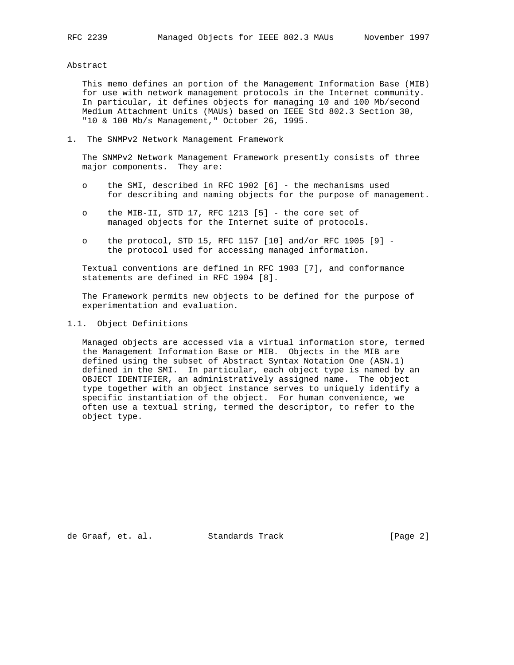Abstract

 This memo defines an portion of the Management Information Base (MIB) for use with network management protocols in the Internet community. In particular, it defines objects for managing 10 and 100 Mb/second Medium Attachment Units (MAUs) based on IEEE Std 802.3 Section 30, "10 & 100 Mb/s Management," October 26, 1995.

1. The SNMPv2 Network Management Framework

 The SNMPv2 Network Management Framework presently consists of three major components. They are:

- o the SMI, described in RFC 1902 [6] the mechanisms used for describing and naming objects for the purpose of management.
- o the MIB-II, STD 17, RFC 1213 [5] the core set of managed objects for the Internet suite of protocols.
- o the protocol, STD 15, RFC 1157 [10] and/or RFC 1905 [9] the protocol used for accessing managed information.

 Textual conventions are defined in RFC 1903 [7], and conformance statements are defined in RFC 1904 [8].

 The Framework permits new objects to be defined for the purpose of experimentation and evaluation.

1.1. Object Definitions

 Managed objects are accessed via a virtual information store, termed the Management Information Base or MIB. Objects in the MIB are defined using the subset of Abstract Syntax Notation One (ASN.1) defined in the SMI. In particular, each object type is named by an OBJECT IDENTIFIER, an administratively assigned name. The object type together with an object instance serves to uniquely identify a specific instantiation of the object. For human convenience, we often use a textual string, termed the descriptor, to refer to the object type.

de Graaf, et. al. Standards Track [Page 2]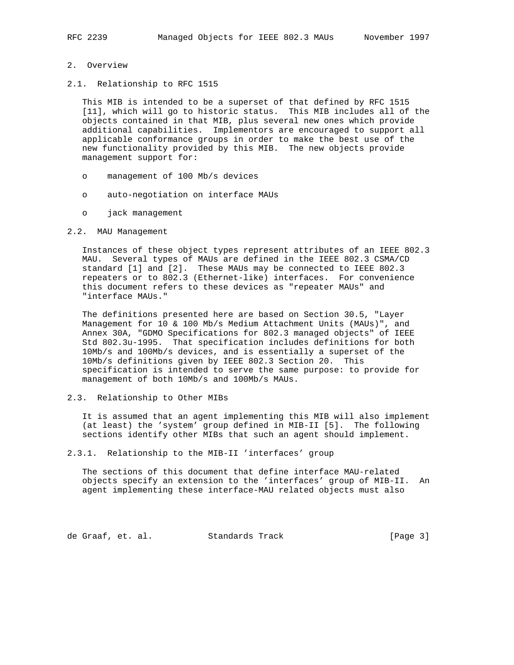- 2. Overview
- 2.1. Relationship to RFC 1515

 This MIB is intended to be a superset of that defined by RFC 1515 [11], which will go to historic status. This MIB includes all of the objects contained in that MIB, plus several new ones which provide additional capabilities. Implementors are encouraged to support all applicable conformance groups in order to make the best use of the new functionality provided by this MIB. The new objects provide management support for:

- o management of 100 Mb/s devices
- o auto-negotiation on interface MAUs
- o jack management

### 2.2. MAU Management

 Instances of these object types represent attributes of an IEEE 802.3 MAU. Several types of MAUs are defined in the IEEE 802.3 CSMA/CD standard [1] and [2]. These MAUs may be connected to IEEE 802.3 repeaters or to 802.3 (Ethernet-like) interfaces. For convenience this document refers to these devices as "repeater MAUs" and "interface MAUs."

 The definitions presented here are based on Section 30.5, "Layer Management for 10 & 100 Mb/s Medium Attachment Units (MAUs)", and Annex 30A, "GDMO Specifications for 802.3 managed objects" of IEEE Std 802.3u-1995. That specification includes definitions for both 10Mb/s and 100Mb/s devices, and is essentially a superset of the 10Mb/s definitions given by IEEE 802.3 Section 20. This specification is intended to serve the same purpose: to provide for management of both 10Mb/s and 100Mb/s MAUs.

2.3. Relationship to Other MIBs

 It is assumed that an agent implementing this MIB will also implement (at least) the 'system' group defined in MIB-II [5]. The following sections identify other MIBs that such an agent should implement.

2.3.1. Relationship to the MIB-II 'interfaces' group

 The sections of this document that define interface MAU-related objects specify an extension to the 'interfaces' group of MIB-II. An agent implementing these interface-MAU related objects must also

de Graaf, et. al. Standards Track [Page 3]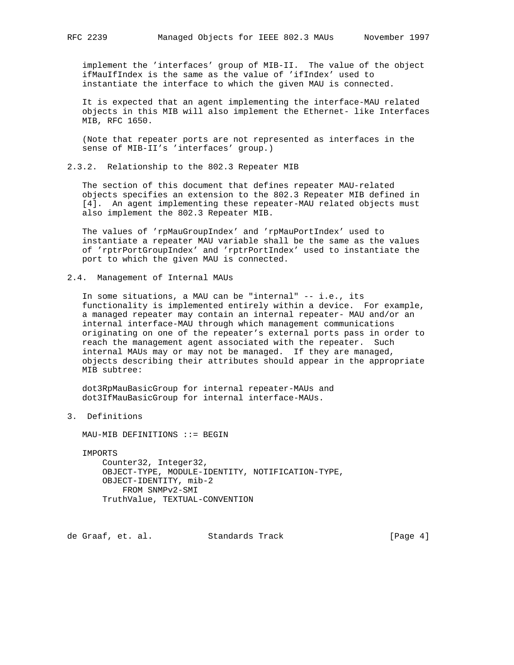implement the 'interfaces' group of MIB-II. The value of the object ifMauIfIndex is the same as the value of 'ifIndex' used to instantiate the interface to which the given MAU is connected.

 It is expected that an agent implementing the interface-MAU related objects in this MIB will also implement the Ethernet- like Interfaces MIB, RFC 1650.

 (Note that repeater ports are not represented as interfaces in the sense of MIB-II's 'interfaces' group.)

2.3.2. Relationship to the 802.3 Repeater MIB

 The section of this document that defines repeater MAU-related objects specifies an extension to the 802.3 Repeater MIB defined in [4]. An agent implementing these repeater-MAU related objects must also implement the 802.3 Repeater MIB.

 The values of 'rpMauGroupIndex' and 'rpMauPortIndex' used to instantiate a repeater MAU variable shall be the same as the values of 'rptrPortGroupIndex' and 'rptrPortIndex' used to instantiate the port to which the given MAU is connected.

2.4. Management of Internal MAUs

 In some situations, a MAU can be "internal" -- i.e., its functionality is implemented entirely within a device. For example, a managed repeater may contain an internal repeater- MAU and/or an internal interface-MAU through which management communications originating on one of the repeater's external ports pass in order to reach the management agent associated with the repeater. Such internal MAUs may or may not be managed. If they are managed, objects describing their attributes should appear in the appropriate MIB subtree:

 dot3RpMauBasicGroup for internal repeater-MAUs and dot3IfMauBasicGroup for internal interface-MAUs.

3. Definitions

MAU-MIB DEFINITIONS ::= BEGIN

IMPORTS

 Counter32, Integer32, OBJECT-TYPE, MODULE-IDENTITY, NOTIFICATION-TYPE, OBJECT-IDENTITY, mib-2 FROM SNMPv2-SMI TruthValue, TEXTUAL-CONVENTION

de Graaf, et. al. Standards Track [Page 4]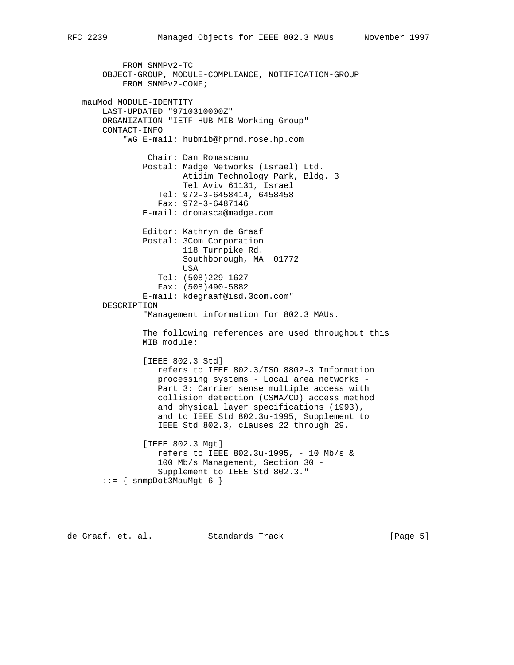FROM SNMPv2-TC OBJECT-GROUP, MODULE-COMPLIANCE, NOTIFICATION-GROUP FROM SNMPv2-CONF; mauMod MODULE-IDENTITY LAST-UPDATED "9710310000Z" ORGANIZATION "IETF HUB MIB Working Group" CONTACT-INFO "WG E-mail: hubmib@hprnd.rose.hp.com Chair: Dan Romascanu Postal: Madge Networks (Israel) Ltd. Atidim Technology Park, Bldg. 3 Tel Aviv 61131, Israel Tel: 972-3-6458414, 6458458 Fax: 972-3-6487146 E-mail: dromasca@madge.com Editor: Kathryn de Graaf Postal: 3Com Corporation 118 Turnpike Rd. Southborough, MA 01772 USA Tel: (508)229-1627 Fax: (508)490-5882 E-mail: kdegraaf@isd.3com.com" DESCRIPTION "Management information for 802.3 MAUs. The following references are used throughout this MIB module: [IEEE 802.3 Std] refers to IEEE 802.3/ISO 8802-3 Information processing systems - Local area networks - Part 3: Carrier sense multiple access with collision detection (CSMA/CD) access method and physical layer specifications (1993), and to IEEE Std 802.3u-1995, Supplement to IEEE Std 802.3, clauses 22 through 29. [IEEE 802.3 Mgt] refers to IEEE 802.3u-1995, - 10 Mb/s & 100 Mb/s Management, Section 30 - Supplement to IEEE Std 802.3."  $::=$  { snmpDot3MauMgt 6 }

de Graaf, et. al. Standards Track [Page 5]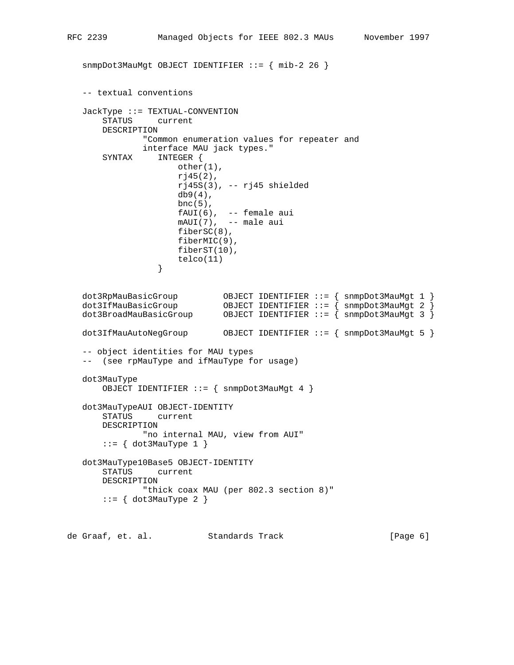```
 snmpDot3MauMgt OBJECT IDENTIFIER ::= { mib-2 26 }
   -- textual conventions
   JackType ::= TEXTUAL-CONVENTION
       STATUS current
       DESCRIPTION
               "Common enumeration values for repeater and
               interface MAU jack types."
       SYNTAX INTEGER {
                     other(1),
                      rj45(2),
                      rj45S(3), -- rj45 shielded
                      db9(4),
                     bnc(5),
                      fAUI(6), -- female aui
                     mAUI(7), -- male aui
                     fiberSC(8),
                      fiberMIC(9),
                     fiberST(10),
                 telco(11) }
 dot3RpMauBasicGroup OBJECT IDENTIFIER ::= { snmpDot3MauMgt 1 }
 dot3IfMauBasicGroup OBJECT IDENTIFIER ::= { snmpDot3MauMgt 2 }
 dot3BroadMauBasicGroup OBJECT IDENTIFIER ::= { snmpDot3MauMgt 3 }
   dot3IfMauAutoNegGroup OBJECT IDENTIFIER ::= { snmpDot3MauMgt 5 }
   -- object identities for MAU types
   -- (see rpMauType and ifMauType for usage)
   dot3MauType
       OBJECT IDENTIFIER ::= { snmpDot3MauMgt 4 }
   dot3MauTypeAUI OBJECT-IDENTITY
       STATUS current
       DESCRIPTION
              "no internal MAU, view from AUI"
      ::= { dot3MauType 1 }
   dot3MauType10Base5 OBJECT-IDENTITY
       STATUS current
       DESCRIPTION
               "thick coax MAU (per 802.3 section 8)"
      ::= { dot3MauType 2 }
```
de Graaf, et. al. Standards Track [Page 6]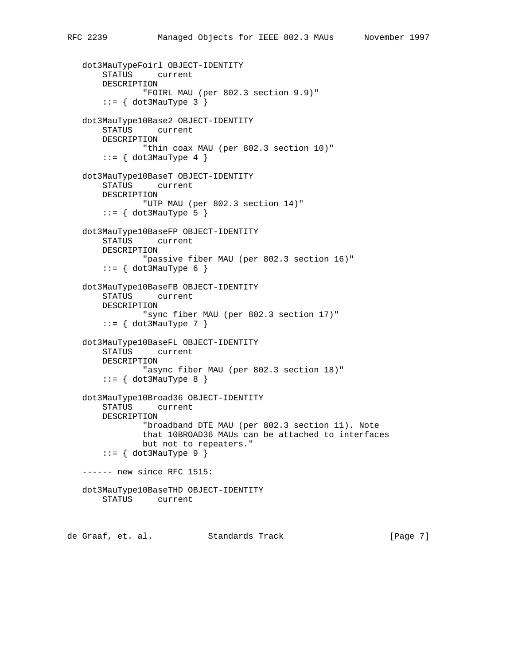```
 dot3MauTypeFoirl OBJECT-IDENTITY
     STATUS current
     DESCRIPTION
             "FOIRL MAU (per 802.3 section 9.9)"
    ::= { dot3MauType 3 }
 dot3MauType10Base2 OBJECT-IDENTITY
     STATUS current
     DESCRIPTION
             "thin coax MAU (per 802.3 section 10)"
    ::= { dot3MauType 4 }
 dot3MauType10BaseT OBJECT-IDENTITY
     STATUS current
     DESCRIPTION
            "UTP MAU (per 802.3 section 14)"
    ::= { dot3MauType 5 }
 dot3MauType10BaseFP OBJECT-IDENTITY
     STATUS current
    DESCRIPTION
             "passive fiber MAU (per 802.3 section 16)"
    ::= { dot3MauType 6 }
 dot3MauType10BaseFB OBJECT-IDENTITY
     STATUS current
    DESCRIPTION
             "sync fiber MAU (per 802.3 section 17)"
    ::= { dot3MauType 7 }
 dot3MauType10BaseFL OBJECT-IDENTITY
     STATUS current
     DESCRIPTION
             "async fiber MAU (per 802.3 section 18)"
    ::= \{ dot3MauType 8 \} dot3MauType10Broad36 OBJECT-IDENTITY
     STATUS current
    DESCRIPTION
             "broadband DTE MAU (per 802.3 section 11). Note
             that 10BROAD36 MAUs can be attached to interfaces
             but not to repeaters."
    ::= \{ dot3MauType 9 \} ------ new since RFC 1515:
 dot3MauType10BaseTHD OBJECT-IDENTITY
    STATUS current
```
de Graaf, et. al. Standards Track [Page 7]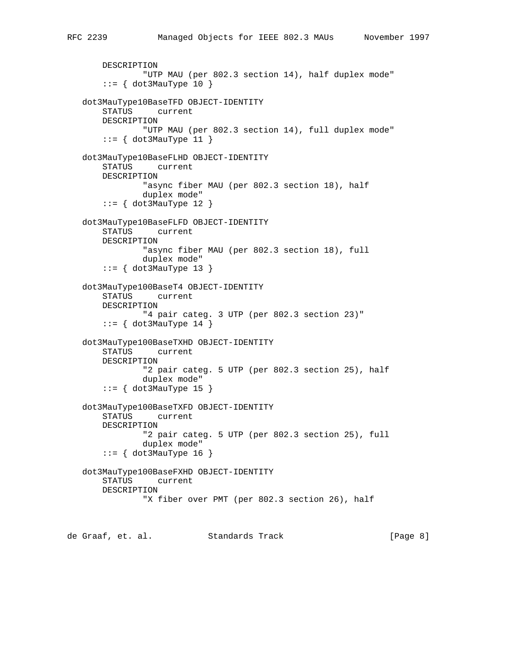```
 DESCRIPTION
             "UTP MAU (per 802.3 section 14), half duplex mode"
    ::= { dot3MauType 10 }
 dot3MauType10BaseTFD OBJECT-IDENTITY
    STATUS current
    DESCRIPTION
             "UTP MAU (per 802.3 section 14), full duplex mode"
    ::= { dot3MauType 11 }
 dot3MauType10BaseFLHD OBJECT-IDENTITY
    STATUS current
    DESCRIPTION
            "async fiber MAU (per 802.3 section 18), half
             duplex mode"
    ::= { dot3MauType 12 }
 dot3MauType10BaseFLFD OBJECT-IDENTITY
    STATUS current
    DESCRIPTION
             "async fiber MAU (per 802.3 section 18), full
             duplex mode"
    ::= { dot3MauType 13 }
 dot3MauType100BaseT4 OBJECT-IDENTITY
     STATUS current
    DESCRIPTION
             "4 pair categ. 3 UTP (per 802.3 section 23)"
     ::= { dot3MauType 14 }
 dot3MauType100BaseTXHD OBJECT-IDENTITY
    STATUS current
    DESCRIPTION
             "2 pair categ. 5 UTP (per 802.3 section 25), half
             duplex mode"
    ::= { dot3MauType 15 }
 dot3MauType100BaseTXFD OBJECT-IDENTITY
     STATUS current
    DESCRIPTION
             "2 pair categ. 5 UTP (per 802.3 section 25), full
             duplex mode"
    ::= { dot3MauType 16 }
 dot3MauType100BaseFXHD OBJECT-IDENTITY
    STATUS current
    DESCRIPTION
             "X fiber over PMT (per 802.3 section 26), half
```
de Graaf, et. al. Standards Track [Page 8]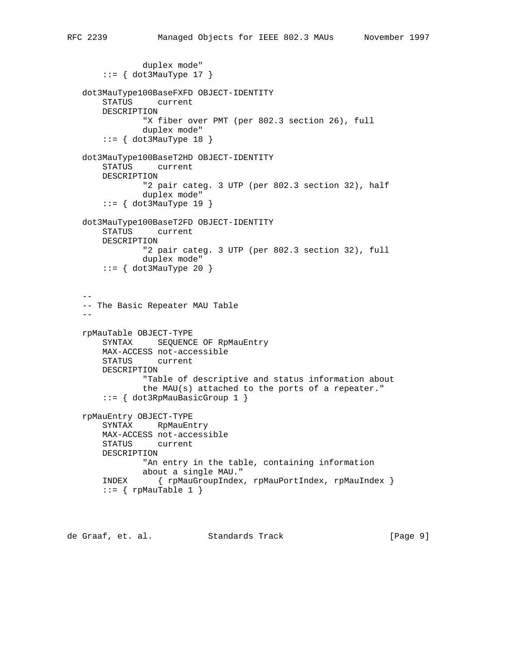```
 duplex mode"
       ::= { dot3MauType 17 }
   dot3MauType100BaseFXFD OBJECT-IDENTITY
       STATUS current
       DESCRIPTION
               "X fiber over PMT (per 802.3 section 26), full
                duplex mode"
       ::= { dot3MauType 18 }
   dot3MauType100BaseT2HD OBJECT-IDENTITY
       STATUS current
       DESCRIPTION
               "2 pair categ. 3 UTP (per 802.3 section 32), half
               duplex mode"
       ::= \{ dot3MauType 19 \} dot3MauType100BaseT2FD OBJECT-IDENTITY
       STATUS current
       DESCRIPTION
                "2 pair categ. 3 UTP (per 802.3 section 32), full
                duplex mode"
      ::= { dot3MauType 20 }
 --
   -- The Basic Repeater MAU Table
 --
   rpMauTable OBJECT-TYPE
       SYNTAX SEQUENCE OF RpMauEntry
       MAX-ACCESS not-accessible
       STATUS current
       DESCRIPTION
                "Table of descriptive and status information about
               the MAU(s) attached to the ports of a repeater."
        ::= { dot3RpMauBasicGroup 1 }
   rpMauEntry OBJECT-TYPE
       SYNTAX RpMauEntry
       MAX-ACCESS not-accessible
       STATUS current
       DESCRIPTION
                "An entry in the table, containing information
               about a single MAU."
       INDEX { rpMauGroupIndex, rpMauPortIndex, rpMauIndex }
      ::= \{ rpMauTable 1 \}
```
de Graaf, et. al. Standards Track [Page 9]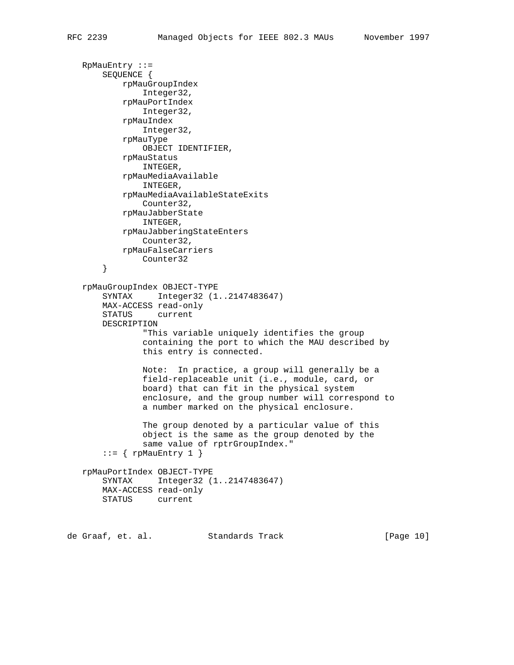```
 RpMauEntry ::=
    SEQUENCE {
         rpMauGroupIndex
            Integer32,
         rpMauPortIndex
            Integer32,
         rpMauIndex
            Integer32,
         rpMauType
            OBJECT IDENTIFIER,
         rpMauStatus
            INTEGER,
         rpMauMediaAvailable
            INTEGER,
         rpMauMediaAvailableStateExits
            Counter32,
         rpMauJabberState
            INTEGER,
         rpMauJabberingStateEnters
            Counter32,
         rpMauFalseCarriers
            Counter32
     }
 rpMauGroupIndex OBJECT-TYPE
     SYNTAX Integer32 (1..2147483647)
     MAX-ACCESS read-only
     STATUS current
    DESCRIPTION
             "This variable uniquely identifies the group
             containing the port to which the MAU described by
             this entry is connected.
             Note: In practice, a group will generally be a
             field-replaceable unit (i.e., module, card, or
             board) that can fit in the physical system
             enclosure, and the group number will correspond to
             a number marked on the physical enclosure.
             The group denoted by a particular value of this
             object is the same as the group denoted by the
             same value of rptrGroupIndex."
    ::= { rpMauEntry 1 }
 rpMauPortIndex OBJECT-TYPE
     SYNTAX Integer32 (1..2147483647)
    MAX-ACCESS read-only
    STATUS current
```
de Graaf, et. al. Standards Track [Page 10]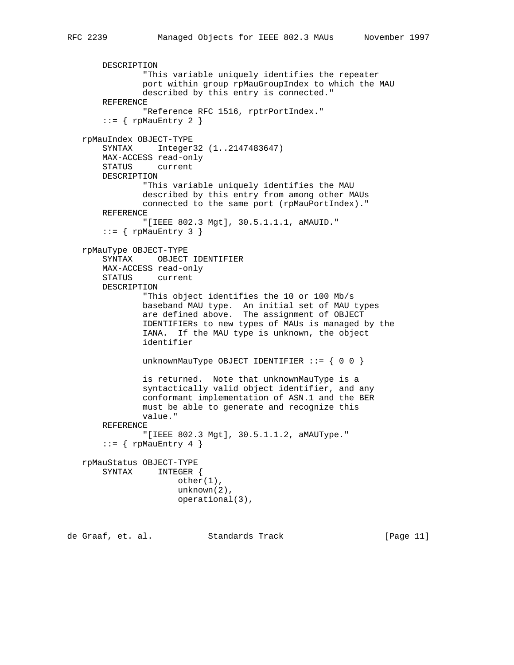```
 DESCRIPTION
               "This variable uniquely identifies the repeater
               port within group rpMauGroupIndex to which the MAU
               described by this entry is connected."
       REFERENCE
               "Reference RFC 1516, rptrPortIndex."
      ::= { rpMauEntry 2 }
   rpMauIndex OBJECT-TYPE
       SYNTAX Integer32 (1..2147483647)
       MAX-ACCESS read-only
       STATUS current
       DESCRIPTION
               "This variable uniquely identifies the MAU
               described by this entry from among other MAUs
               connected to the same port (rpMauPortIndex)."
       REFERENCE
               "[IEEE 802.3 Mgt], 30.5.1.1.1, aMAUID."
      ::= { rpMauEntry 3 }
   rpMauType OBJECT-TYPE
       SYNTAX OBJECT IDENTIFIER
       MAX-ACCESS read-only
       STATUS current
       DESCRIPTION
               "This object identifies the 10 or 100 Mb/s
 baseband MAU type. An initial set of MAU types
 are defined above. The assignment of OBJECT
               IDENTIFIERs to new types of MAUs is managed by the
               IANA. If the MAU type is unknown, the object
               identifier
               unknownMauType OBJECT IDENTIFIER ::= { 0 0 }
               is returned. Note that unknownMauType is a
               syntactically valid object identifier, and any
               conformant implementation of ASN.1 and the BER
               must be able to generate and recognize this
               value."
       REFERENCE
               "[IEEE 802.3 Mgt], 30.5.1.1.2, aMAUType."
      ::= { rpMauEntry 4 }
   rpMauStatus OBJECT-TYPE
       SYNTAX INTEGER {
                      other(1),
                      unknown(2),
                      operational(3),
```
de Graaf, et. al. Standards Track [Page 11]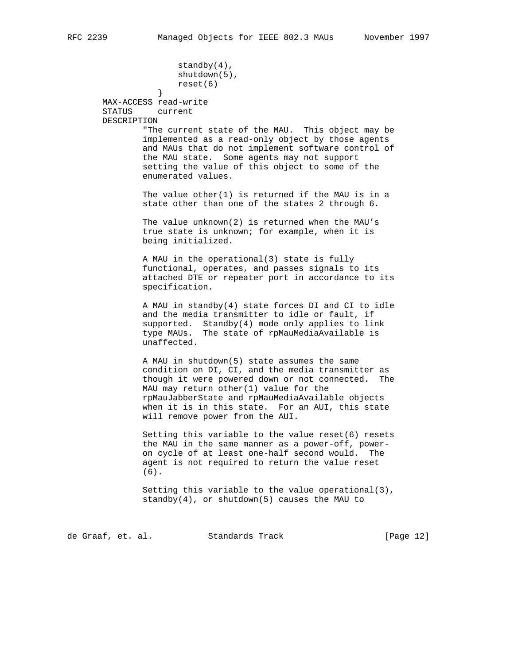standby(4), shutdown(5), reset(6) } MAX-ACCESS read-write STATUS current DESCRIPTION "The current state of the MAU. This object may be implemented as a read-only object by those agents and MAUs that do not implement software control of the MAU state. Some agents may not support setting the value of this object to some of the enumerated values. The value other(1) is returned if the MAU is in a state other than one of the states 2 through 6. The value unknown(2) is returned when the MAU's true state is unknown; for example, when it is being initialized. A MAU in the operational(3) state is fully functional, operates, and passes signals to its attached DTE or repeater port in accordance to its specification. A MAU in standby(4) state forces DI and CI to idle and the media transmitter to idle or fault, if supported. Standby(4) mode only applies to link type MAUs. The state of rpMauMediaAvailable is unaffected. A MAU in shutdown(5) state assumes the same condition on DI, CI, and the media transmitter as though it were powered down or not connected. The MAU may return other(1) value for the rpMauJabberState and rpMauMediaAvailable objects when it is in this state. For an AUI, this state will remove power from the AUI. Setting this variable to the value reset(6) resets the MAU in the same manner as a power-off, power on cycle of at least one-half second would. The agent is not required to return the value reset (6). Setting this variable to the value operational(3), standby(4), or shutdown(5) causes the MAU to

de Graaf, et. al. Standards Track [Page 12]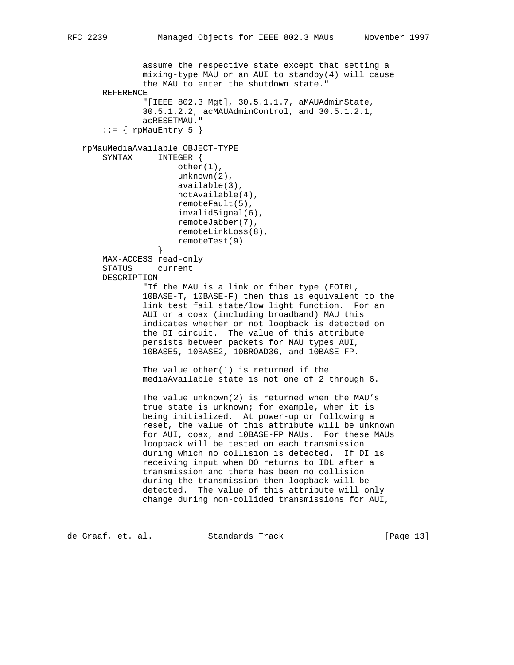```
 assume the respective state except that setting a
                mixing-type MAU or an AUI to standby(4) will cause
                the MAU to enter the shutdown state."
       REFERENCE
                "[IEEE 802.3 Mgt], 30.5.1.1.7, aMAUAdminState,
                30.5.1.2.2, acMAUAdminControl, and 30.5.1.2.1,
                acRESETMAU."
       ::= { rpMauEntry 5 }
   rpMauMediaAvailable OBJECT-TYPE
       SYNTAX INTEGER {
                      other(1),
                      unknown(2),
                       available(3),
                       notAvailable(4),
                       remoteFault(5),
                       invalidSignal(6),
                      remoteJabber(7),
                      remoteLinkLoss(8),
                  remoteTest(9)<br>}
 }
       MAX-ACCESS read-only
       STATUS current
       DESCRIPTION
                "If the MAU is a link or fiber type (FOIRL,
                10BASE-T, 10BASE-F) then this is equivalent to the
                link test fail state/low light function. For an
                AUI or a coax (including broadband) MAU this
                indicates whether or not loopback is detected on
                the DI circuit. The value of this attribute
                persists between packets for MAU types AUI,
                10BASE5, 10BASE2, 10BROAD36, and 10BASE-FP.
                The value other(1) is returned if the
                mediaAvailable state is not one of 2 through 6.
                The value unknown(2) is returned when the MAU's
                true state is unknown; for example, when it is
                being initialized. At power-up or following a
                reset, the value of this attribute will be unknown
                for AUI, coax, and 10BASE-FP MAUs. For these MAUs
                loopback will be tested on each transmission
                during which no collision is detected. If DI is
                receiving input when DO returns to IDL after a
                transmission and there has been no collision
                during the transmission then loopback will be
                detected. The value of this attribute will only
                change during non-collided transmissions for AUI,
```
de Graaf, et. al. Standards Track [Page 13]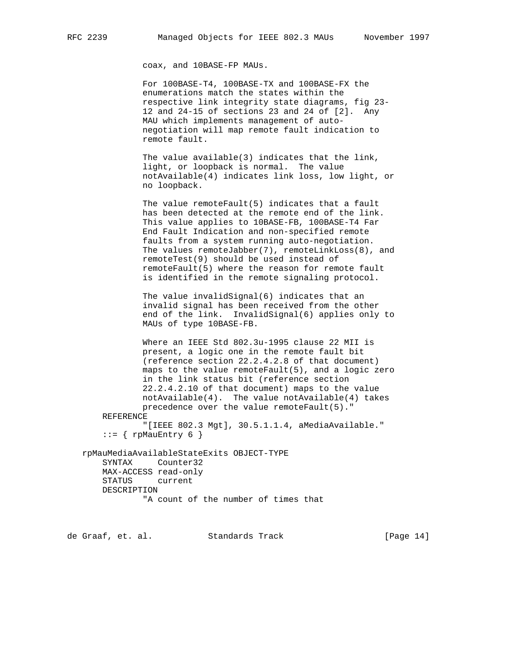coax, and 10BASE-FP MAUs.

 For 100BASE-T4, 100BASE-TX and 100BASE-FX the enumerations match the states within the respective link integrity state diagrams, fig 23- 12 and 24-15 of sections 23 and 24 of [2]. Any MAU which implements management of auto negotiation will map remote fault indication to remote fault.

 The value available(3) indicates that the link, light, or loopback is normal. The value notAvailable(4) indicates link loss, low light, or no loopback.

 The value remoteFault(5) indicates that a fault has been detected at the remote end of the link. This value applies to 10BASE-FB, 100BASE-T4 Far End Fault Indication and non-specified remote faults from a system running auto-negotiation. The values remoteJabber(7), remoteLinkLoss(8), and remoteTest(9) should be used instead of remoteFault(5) where the reason for remote fault is identified in the remote signaling protocol.

 The value invalidSignal(6) indicates that an invalid signal has been received from the other end of the link. InvalidSignal(6) applies only to MAUs of type 10BASE-FB.

 Where an IEEE Std 802.3u-1995 clause 22 MII is present, a logic one in the remote fault bit (reference section 22.2.4.2.8 of that document) maps to the value remoteFault(5), and a logic zero in the link status bit (reference section 22.2.4.2.10 of that document) maps to the value notAvailable(4). The value notAvailable(4) takes precedence over the value remoteFault(5)." REFERENCE "[IEEE 802.3 Mgt], 30.5.1.1.4, aMediaAvailable."  $::= \{$  rpMauEntry 6  $\}$  rpMauMediaAvailableStateExits OBJECT-TYPE SYNTAX Counter32 MAX-ACCESS read-only STATUS current

DESCRIPTION

"A count of the number of times that

de Graaf, et. al. Standards Track [Page 14]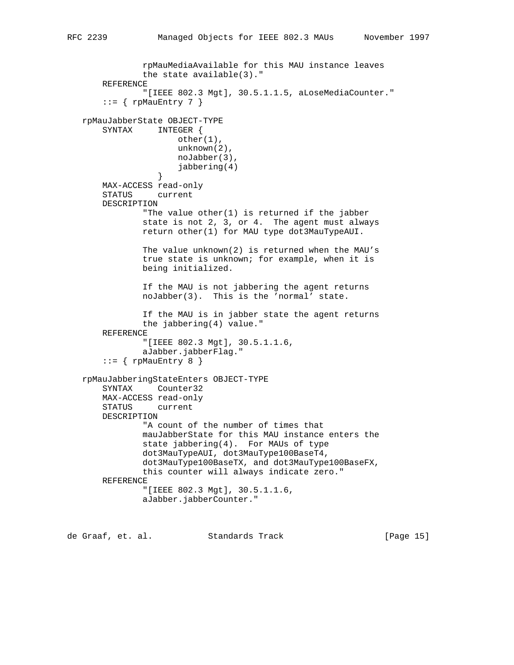```
 rpMauMediaAvailable for this MAU instance leaves
               the state available(3)."
       REFERENCE
               "[IEEE 802.3 Mgt], 30.5.1.1.5, aLoseMediaCounter."
       ::= { rpMauEntry 7 }
   rpMauJabberState OBJECT-TYPE
       SYNTAX INTEGER {
                      other(1),
                      unknown(2),
                      noJabber(3),
                  jabbering(4)<br>}
 }
       MAX-ACCESS read-only
       STATUS current
       DESCRIPTION
                "The value other(1) is returned if the jabber
               state is not 2, 3, or 4. The agent must always
               return other(1) for MAU type dot3MauTypeAUI.
               The value unknown(2) is returned when the MAU's
               true state is unknown; for example, when it is
               being initialized.
               If the MAU is not jabbering the agent returns
               noJabber(3). This is the 'normal' state.
               If the MAU is in jabber state the agent returns
               the jabbering(4) value."
       REFERENCE
                "[IEEE 802.3 Mgt], 30.5.1.1.6,
               aJabber.jabberFlag."
       ::= { rpMauEntry 8 }
   rpMauJabberingStateEnters OBJECT-TYPE
       SYNTAX Counter32
       MAX-ACCESS read-only
       STATUS current
       DESCRIPTION
                "A count of the number of times that
               mauJabberState for this MAU instance enters the
               state jabbering(4). For MAUs of type
               dot3MauTypeAUI, dot3MauType100BaseT4,
               dot3MauType100BaseTX, and dot3MauType100BaseFX,
               this counter will always indicate zero."
       REFERENCE
               "[IEEE 802.3 Mgt], 30.5.1.1.6,
               aJabber.jabberCounter."
```
de Graaf, et. al. Standards Track [Page 15]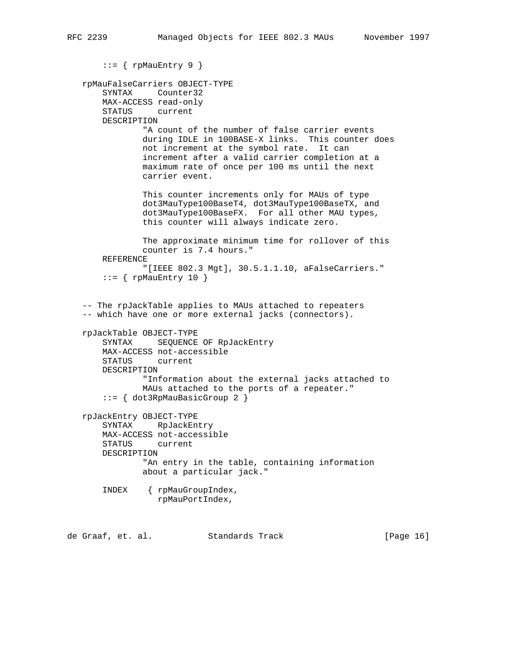```
::= { rpMauEntry 9 }
 rpMauFalseCarriers OBJECT-TYPE
     SYNTAX Counter32
    MAX-ACCESS read-only
    STATUS current
    DESCRIPTION
             "A count of the number of false carrier events
             during IDLE in 100BASE-X links. This counter does
             not increment at the symbol rate. It can
             increment after a valid carrier completion at a
             maximum rate of once per 100 ms until the next
             carrier event.
             This counter increments only for MAUs of type
             dot3MauType100BaseT4, dot3MauType100BaseTX, and
             dot3MauType100BaseFX. For all other MAU types,
             this counter will always indicate zero.
             The approximate minimum time for rollover of this
             counter is 7.4 hours."
     REFERENCE
             "[IEEE 802.3 Mgt], 30.5.1.1.10, aFalseCarriers."
    ::= { rpMauEntry 10 }
 -- The rpJackTable applies to MAUs attached to repeaters
 -- which have one or more external jacks (connectors).
 rpJackTable OBJECT-TYPE
     SYNTAX SEQUENCE OF RpJackEntry
    MAX-ACCESS not-accessible
    STATUS current
     DESCRIPTION
             "Information about the external jacks attached to
            MAUs attached to the ports of a repeater."
     ::= { dot3RpMauBasicGroup 2 }
 rpJackEntry OBJECT-TYPE
     SYNTAX RpJackEntry
    MAX-ACCESS not-accessible
     STATUS current
    DESCRIPTION
             "An entry in the table, containing information
             about a particular jack."
     INDEX { rpMauGroupIndex,
                rpMauPortIndex,
```
de Graaf, et. al. Standards Track [Page 16]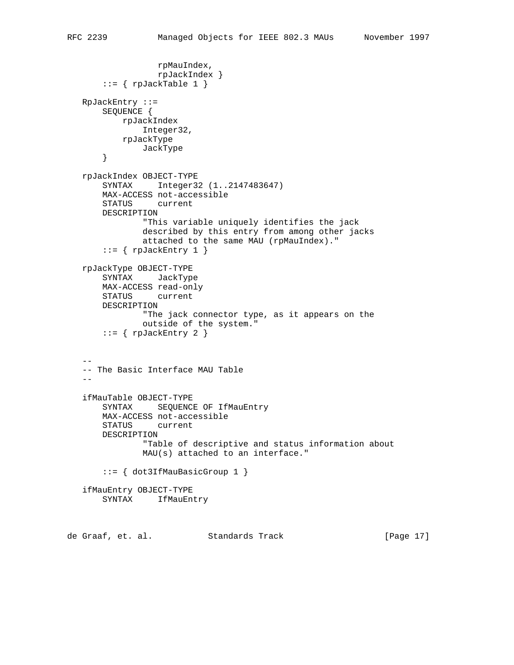```
 rpMauIndex,
                  rpJackIndex }
       ::= { rpJackTable 1 }
   RpJackEntry ::=
       SEQUENCE {
           rpJackIndex
               Integer32,
           rpJackType
               JackType
       }
   rpJackIndex OBJECT-TYPE
       SYNTAX Integer32 (1..2147483647)
       MAX-ACCESS not-accessible
       STATUS current
       DESCRIPTION
               "This variable uniquely identifies the jack
               described by this entry from among other jacks
               attached to the same MAU (rpMauIndex)."
       ::= { rpJackEntry 1 }
   rpJackType OBJECT-TYPE
       SYNTAX JackType
       MAX-ACCESS read-only
       STATUS current
       DESCRIPTION
                "The jack connector type, as it appears on the
                outside of the system."
      ::= { rpJackEntry 2 }
- -- The Basic Interface MAU Table
 --
   ifMauTable OBJECT-TYPE
       SYNTAX SEQUENCE OF IfMauEntry
       MAX-ACCESS not-accessible
       STATUS current
       DESCRIPTION
                "Table of descriptive and status information about
               MAU(s) attached to an interface."
        ::= { dot3IfMauBasicGroup 1 }
   ifMauEntry OBJECT-TYPE
       SYNTAX IfMauEntry
```
de Graaf, et. al. Standards Track [Page 17]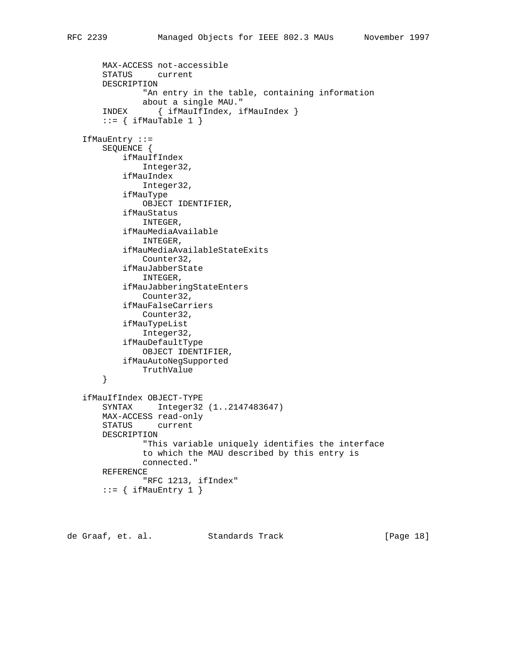```
 MAX-ACCESS not-accessible
    STATUS current
    DESCRIPTION
             "An entry in the table, containing information
            about a single MAU."
     INDEX { ifMauIfIndex, ifMauIndex }
    ::= { ifMauTable 1 }
 IfMauEntry ::=
    SEQUENCE {
         ifMauIfIndex
            Integer32,
         ifMauIndex
            Integer32,
         ifMauType
            OBJECT IDENTIFIER,
         ifMauStatus
            INTEGER,
         ifMauMediaAvailable
            INTEGER,
         ifMauMediaAvailableStateExits
            Counter32,
         ifMauJabberState
            INTEGER,
         ifMauJabberingStateEnters
            Counter32,
         ifMauFalseCarriers
            Counter32,
         ifMauTypeList
            Integer32,
         ifMauDefaultType
            OBJECT IDENTIFIER,
         ifMauAutoNegSupported
            TruthValue
     }
 ifMauIfIndex OBJECT-TYPE
     SYNTAX Integer32 (1..2147483647)
    MAX-ACCESS read-only
    STATUS current
    DESCRIPTION
             "This variable uniquely identifies the interface
             to which the MAU described by this entry is
            connected."
    REFERENCE
             "RFC 1213, ifIndex"
    ::= { ifMauEntry 1 }
```
de Graaf, et. al. Standards Track [Page 18]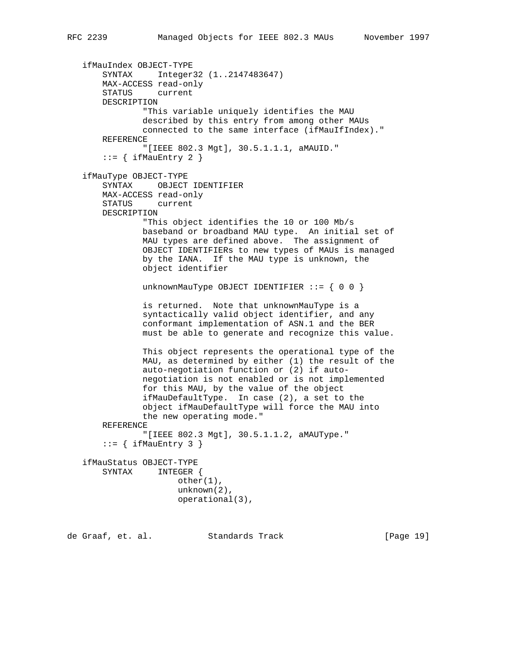```
 ifMauIndex OBJECT-TYPE
     SYNTAX Integer32 (1..2147483647)
    MAX-ACCESS read-only
    STATUS current
    DESCRIPTION
             "This variable uniquely identifies the MAU
             described by this entry from among other MAUs
             connected to the same interface (ifMauIfIndex)."
    REFERENCE
             "[IEEE 802.3 Mgt], 30.5.1.1.1, aMAUID."
    ::= { ifMauEntry 2 }
 ifMauType OBJECT-TYPE
    SYNTAX OBJECT IDENTIFIER
    MAX-ACCESS read-only
    STATUS current
    DESCRIPTION
             "This object identifies the 10 or 100 Mb/s
             baseband or broadband MAU type. An initial set of
             MAU types are defined above. The assignment of
             OBJECT IDENTIFIERs to new types of MAUs is managed
             by the IANA. If the MAU type is unknown, the
             object identifier
            unknownMauType OBJECT IDENTIFIER ::= \{ 0 0 \} is returned. Note that unknownMauType is a
             syntactically valid object identifier, and any
             conformant implementation of ASN.1 and the BER
             must be able to generate and recognize this value.
             This object represents the operational type of the
             MAU, as determined by either (1) the result of the
             auto-negotiation function or (2) if auto-
             negotiation is not enabled or is not implemented
             for this MAU, by the value of the object
             ifMauDefaultType. In case (2), a set to the
             object ifMauDefaultType will force the MAU into
             the new operating mode."
    REFERENCE
             "[IEEE 802.3 Mgt], 30.5.1.1.2, aMAUType."
    ::= { ifMauEntry 3 }
 ifMauStatus OBJECT-TYPE
    SYNTAX INTEGER {
                    other(1),
                    unknown(2),
                    operational(3),
```
de Graaf, et. al. Standards Track [Page 19]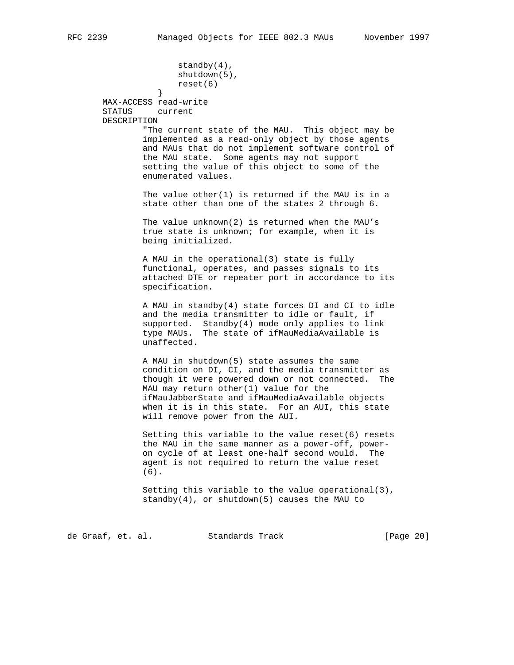standby(4), shutdown(5), reset(6) } MAX-ACCESS read-write STATUS current DESCRIPTION "The current state of the MAU. This object may be implemented as a read-only object by those agents and MAUs that do not implement software control of the MAU state. Some agents may not support setting the value of this object to some of the enumerated values. The value other(1) is returned if the MAU is in a state other than one of the states 2 through 6. The value unknown(2) is returned when the MAU's true state is unknown; for example, when it is being initialized. A MAU in the operational(3) state is fully functional, operates, and passes signals to its attached DTE or repeater port in accordance to its specification. A MAU in standby(4) state forces DI and CI to idle and the media transmitter to idle or fault, if supported. Standby(4) mode only applies to link type MAUs. The state of ifMauMediaAvailable is unaffected. A MAU in shutdown(5) state assumes the same condition on DI, CI, and the media transmitter as though it were powered down or not connected. The MAU may return other(1) value for the ifMauJabberState and ifMauMediaAvailable objects when it is in this state. For an AUI, this state will remove power from the AUI. Setting this variable to the value reset(6) resets the MAU in the same manner as a power-off, power on cycle of at least one-half second would. The agent is not required to return the value reset (6). Setting this variable to the value operational(3), standby(4), or shutdown(5) causes the MAU to

de Graaf, et. al. Standards Track [Page 20]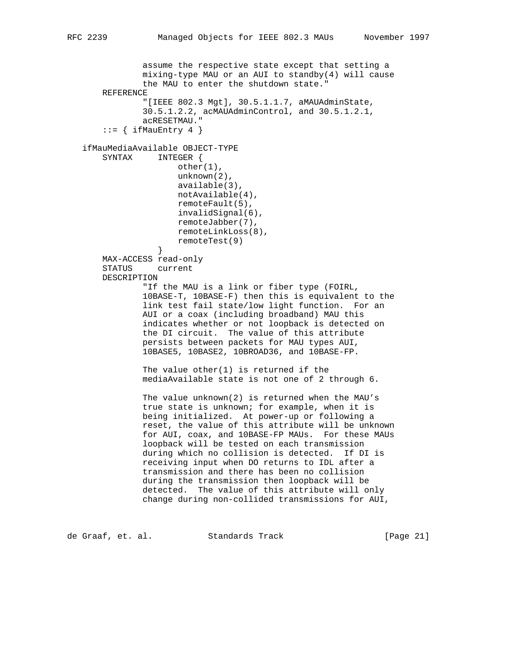```
 assume the respective state except that setting a
               mixing-type MAU or an AUI to standby(4) will cause
                the MAU to enter the shutdown state."
       REFERENCE
                "[IEEE 802.3 Mgt], 30.5.1.1.7, aMAUAdminState,
                30.5.1.2.2, acMAUAdminControl, and 30.5.1.2.1,
                acRESETMAU."
       ::= { ifMauEntry 4 }
   ifMauMediaAvailable OBJECT-TYPE
       SYNTAX INTEGER {
                      other(1),
                      unknown(2),
                       available(3),
                       notAvailable(4),
                       remoteFault(5),
                       invalidSignal(6),
                      remoteJabber(7),
                      remoteLinkLoss(8),
                 remoteTest(9)<br>}
 }
       MAX-ACCESS read-only
       STATUS current
       DESCRIPTION
                "If the MAU is a link or fiber type (FOIRL,
                10BASE-T, 10BASE-F) then this is equivalent to the
                link test fail state/low light function. For an
               AUI or a coax (including broadband) MAU this
               indicates whether or not loopback is detected on
               the DI circuit. The value of this attribute
                persists between packets for MAU types AUI,
               10BASE5, 10BASE2, 10BROAD36, and 10BASE-FP.
                The value other(1) is returned if the
               mediaAvailable state is not one of 2 through 6.
               The value unknown(2) is returned when the MAU's
                true state is unknown; for example, when it is
               being initialized. At power-up or following a
               reset, the value of this attribute will be unknown
               for AUI, coax, and 10BASE-FP MAUs. For these MAUs
                loopback will be tested on each transmission
               during which no collision is detected. If DI is
               receiving input when DO returns to IDL after a
               transmission and there has been no collision
                during the transmission then loopback will be
               detected. The value of this attribute will only
               change during non-collided transmissions for AUI,
```
de Graaf, et. al. Standards Track [Page 21]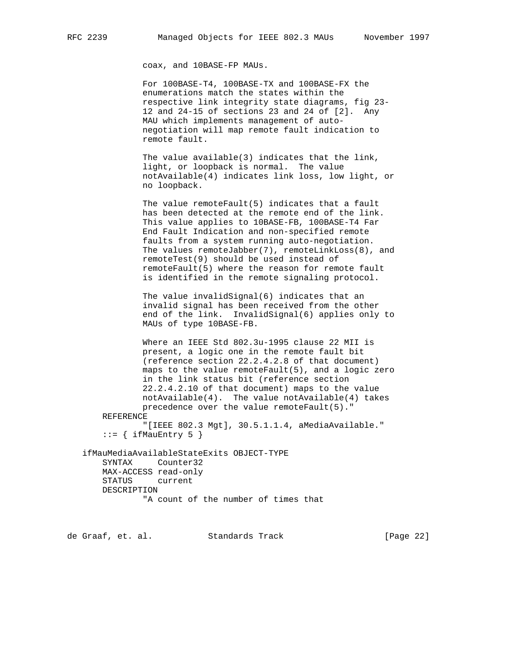coax, and 10BASE-FP MAUs.

 For 100BASE-T4, 100BASE-TX and 100BASE-FX the enumerations match the states within the respective link integrity state diagrams, fig 23- 12 and 24-15 of sections 23 and 24 of [2]. Any MAU which implements management of auto negotiation will map remote fault indication to remote fault.

 The value available(3) indicates that the link, light, or loopback is normal. The value notAvailable(4) indicates link loss, low light, or no loopback.

 The value remoteFault(5) indicates that a fault has been detected at the remote end of the link. This value applies to 10BASE-FB, 100BASE-T4 Far End Fault Indication and non-specified remote faults from a system running auto-negotiation. The values remoteJabber(7), remoteLinkLoss(8), and remoteTest(9) should be used instead of remoteFault(5) where the reason for remote fault is identified in the remote signaling protocol.

 The value invalidSignal(6) indicates that an invalid signal has been received from the other end of the link. InvalidSignal(6) applies only to MAUs of type 10BASE-FB.

 Where an IEEE Std 802.3u-1995 clause 22 MII is present, a logic one in the remote fault bit (reference section 22.2.4.2.8 of that document) maps to the value remoteFault(5), and a logic zero in the link status bit (reference section 22.2.4.2.10 of that document) maps to the value notAvailable(4). The value notAvailable(4) takes precedence over the value remoteFault(5)." REFERENCE "[IEEE 802.3 Mgt], 30.5.1.1.4, aMediaAvailable."  $::=$  { ifMauEntry 5 } ifMauMediaAvailableStateExits OBJECT-TYPE SYNTAX Counter32 MAX-ACCESS read-only

 STATUS current DESCRIPTION "A count of the number of times that

de Graaf, et. al. Standards Track [Page 22]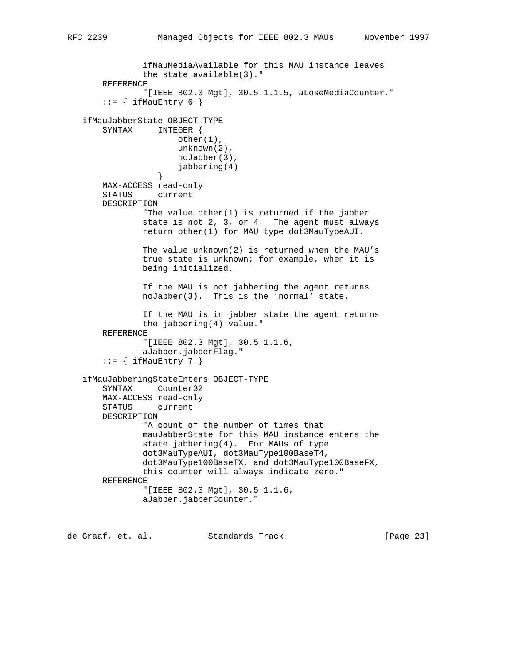```
 ifMauMediaAvailable for this MAU instance leaves
               the state available(3)."
       REFERENCE
               "[IEEE 802.3 Mgt], 30.5.1.1.5, aLoseMediaCounter."
       ::= { ifMauEntry 6 }
   ifMauJabberState OBJECT-TYPE
       SYNTAX INTEGER {
                      other(1),
                      unknown(2),
                      noJabber(3),
                  jabbering(4)<br>}
 }
       MAX-ACCESS read-only
       STATUS current
       DESCRIPTION
               "The value other(1) is returned if the jabber
               state is not 2, 3, or 4. The agent must always
               return other(1) for MAU type dot3MauTypeAUI.
               The value unknown(2) is returned when the MAU's
               true state is unknown; for example, when it is
               being initialized.
               If the MAU is not jabbering the agent returns
               noJabber(3). This is the 'normal' state.
               If the MAU is in jabber state the agent returns
               the jabbering(4) value."
       REFERENCE
                "[IEEE 802.3 Mgt], 30.5.1.1.6,
               aJabber.jabberFlag."
       ::= { ifMauEntry 7 }
   ifMauJabberingStateEnters OBJECT-TYPE
       SYNTAX Counter32
       MAX-ACCESS read-only
       STATUS current
       DESCRIPTION
                "A count of the number of times that
               mauJabberState for this MAU instance enters the
               state jabbering(4). For MAUs of type
               dot3MauTypeAUI, dot3MauType100BaseT4,
               dot3MauType100BaseTX, and dot3MauType100BaseFX,
               this counter will always indicate zero."
       REFERENCE
               "[IEEE 802.3 Mgt], 30.5.1.1.6,
               aJabber.jabberCounter."
```
de Graaf, et. al. Standards Track [Page 23]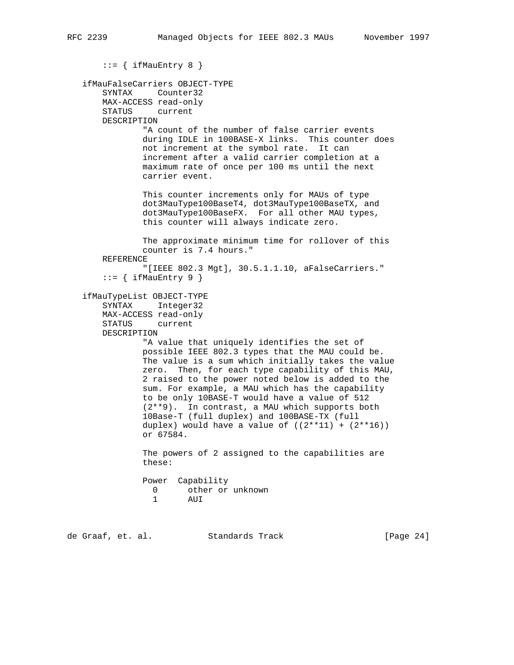```
::= { ifMauEntry 8 }
    ifMauFalseCarriers OBJECT-TYPE
       SYNTAX Counter32
       MAX-ACCESS read-only
       STATUS current
       DESCRIPTION
               "A count of the number of false carrier events
               during IDLE in 100BASE-X links. This counter does
               not increment at the symbol rate. It can
               increment after a valid carrier completion at a
               maximum rate of once per 100 ms until the next
               carrier event.
               This counter increments only for MAUs of type
               dot3MauType100BaseT4, dot3MauType100BaseTX, and
               dot3MauType100BaseFX. For all other MAU types,
               this counter will always indicate zero.
               The approximate minimum time for rollover of this
               counter is 7.4 hours."
       REFERENCE
               "[IEEE 802.3 Mgt], 30.5.1.1.10, aFalseCarriers."
       ::= { ifMauEntry 9 }
    ifMauTypeList OBJECT-TYPE
       SYNTAX Integer32
       MAX-ACCESS read-only
       STATUS current
       DESCRIPTION
                "A value that uniquely identifies the set of
               possible IEEE 802.3 types that the MAU could be.
               The value is a sum which initially takes the value
                zero. Then, for each type capability of this MAU,
                2 raised to the power noted below is added to the
               sum. For example, a MAU which has the capability
                to be only 10BASE-T would have a value of 512
                (2**9). In contrast, a MAU which supports both
                10Base-T (full duplex) and 100BASE-TX (full
               duplex) would have a value of ((2**11) + (2**16)) or 67584.
                The powers of 2 assigned to the capabilities are
                these:
                Power Capability
                 0 other or unknown
                 1 AUI
de Graaf, et. al. Standards Track [Page 24]
```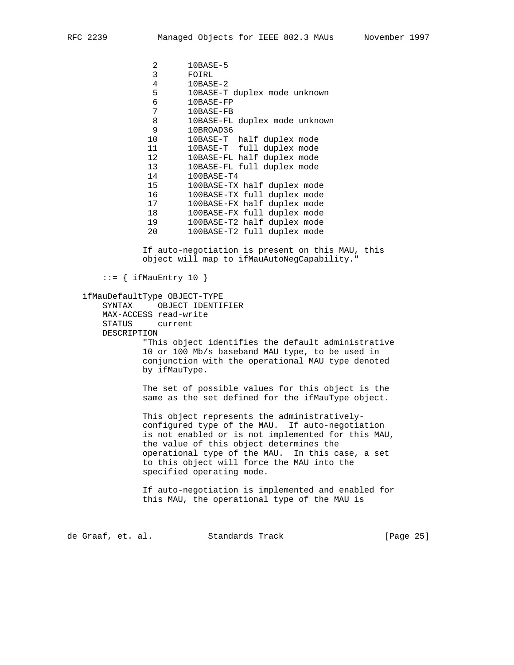| 2              | $10$ BASE-5                                                                                     |
|----------------|-------------------------------------------------------------------------------------------------|
| 3              | FOIRL                                                                                           |
| $\overline{4}$ | $10$ BASE-2                                                                                     |
| 5              | 10BASE-T duplex mode unknown                                                                    |
| 6              | 10BASE-FP                                                                                       |
| 7              | 10BASE-FB                                                                                       |
| 8              | 10BASE-FL duplex mode unknown                                                                   |
| 9              | 10BROAD36                                                                                       |
| 10             | 10BASE-T half duplex mode                                                                       |
| 11             | 10BASE-T full duplex mode                                                                       |
| 12             | 10BASE-FL half duplex mode                                                                      |
| 13             | 10BASE-FL full duplex mode                                                                      |
| 14             | $100$ BASE-T4                                                                                   |
| 15             | 100BASE-TX half duplex mode                                                                     |
|                | 100BASE-TX full duplex mode                                                                     |
| 17             | 100BASE-FX half duplex mode                                                                     |
| 18             | 100BASE-FX full duplex mode                                                                     |
| 19             | 100BASE-T2 half duplex mode                                                                     |
| 20             | 100BASE-T2 full duplex mode                                                                     |
|                | If auto-negotiation is present on this MAU, this<br>object will map to ifMauAutoNegCapability." |

 $::=$  { ifMauEntry 10 }

```
 ifMauDefaultType OBJECT-TYPE
```
 SYNTAX OBJECT IDENTIFIER MAX-ACCESS read-write

STATUS current

DESCRIPTION

 "This object identifies the default administrative 10 or 100 Mb/s baseband MAU type, to be used in conjunction with the operational MAU type denoted by ifMauType.

 The set of possible values for this object is the same as the set defined for the ifMauType object.

 This object represents the administratively configured type of the MAU. If auto-negotiation is not enabled or is not implemented for this MAU, the value of this object determines the operational type of the MAU. In this case, a set to this object will force the MAU into the specified operating mode.

 If auto-negotiation is implemented and enabled for this MAU, the operational type of the MAU is

de Graaf, et. al. Standards Track [Page 25]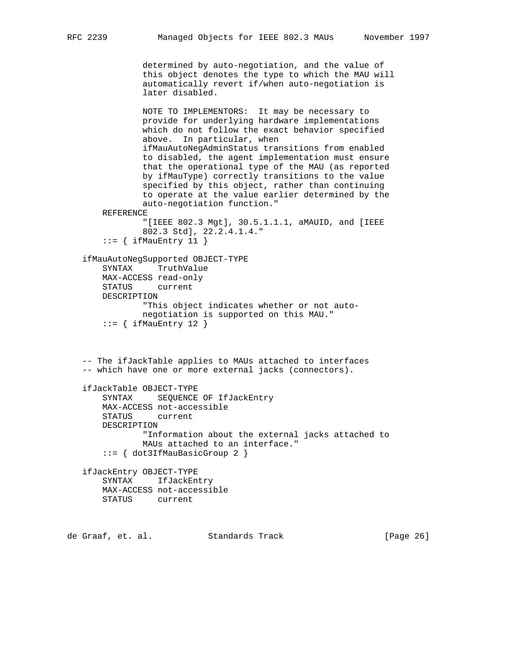determined by auto-negotiation, and the value of this object denotes the type to which the MAU will automatically revert if/when auto-negotiation is later disabled. NOTE TO IMPLEMENTORS: It may be necessary to provide for underlying hardware implementations which do not follow the exact behavior specified above. In particular, when ifMauAutoNegAdminStatus transitions from enabled to disabled, the agent implementation must ensure that the operational type of the MAU (as reported by ifMauType) correctly transitions to the value specified by this object, rather than continuing to operate at the value earlier determined by the auto-negotiation function." REFERENCE "[IEEE 802.3 Mgt], 30.5.1.1.1, aMAUID, and [IEEE 802.3 Std], 22.2.4.1.4."  $::=$  { ifMauEntry 11 } ifMauAutoNegSupported OBJECT-TYPE SYNTAX TruthValue MAX-ACCESS read-only STATUS current DESCRIPTION "This object indicates whether or not auto negotiation is supported on this MAU."  $::=$  { ifMauEntry 12 } -- The ifJackTable applies to MAUs attached to interfaces -- which have one or more external jacks (connectors). ifJackTable OBJECT-TYPE SYNTAX SEQUENCE OF IfJackEntry MAX-ACCESS not-accessible STATUS current DESCRIPTION "Information about the external jacks attached to MAUs attached to an interface." ::= { dot3IfMauBasicGroup 2 } ifJackEntry OBJECT-TYPE SYNTAX IfJackEntry MAX-ACCESS not-accessible STATUS current

de Graaf, et. al. Standards Track [Page 26]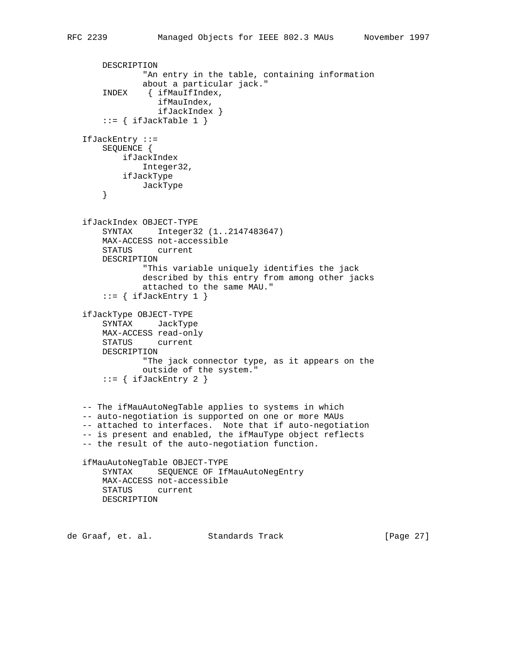```
 DESCRIPTION
             "An entry in the table, containing information
             about a particular jack."
     INDEX { ifMauIfIndex,
                ifMauIndex,
                ifJackIndex }
    ::= { ifJackTable 1 }
 IfJackEntry ::=
    SEQUENCE {
         ifJackIndex
            Integer32,
        ifJackType
            JackType
     }
 ifJackIndex OBJECT-TYPE
    SYNTAX Integer32 (1..2147483647)
    MAX-ACCESS not-accessible
    STATUS current
    DESCRIPTION
             "This variable uniquely identifies the jack
             described by this entry from among other jacks
             attached to the same MAU."
    ::= { ifJackEntry 1 }
 ifJackType OBJECT-TYPE
    SYNTAX JackType
    MAX-ACCESS read-only
    STATUS current
    DESCRIPTION
             "The jack connector type, as it appears on the
             outside of the system."
    ::= { ifJackEntry 2 }
 -- The ifMauAutoNegTable applies to systems in which
 -- auto-negotiation is supported on one or more MAUs
 -- attached to interfaces. Note that if auto-negotiation
 -- is present and enabled, the ifMauType object reflects
 -- the result of the auto-negotiation function.
 ifMauAutoNegTable OBJECT-TYPE
    SYNTAX SEQUENCE OF IfMauAutoNegEntry
    MAX-ACCESS not-accessible
    STATUS current
    DESCRIPTION
```
de Graaf, et. al. Standards Track [Page 27]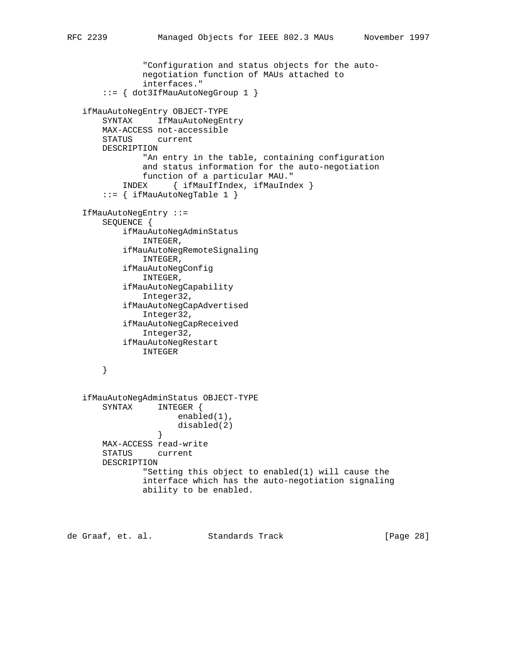```
 "Configuration and status objects for the auto-
                negotiation function of MAUs attached to
                interfaces."
        ::= { dot3IfMauAutoNegGroup 1 }
   ifMauAutoNegEntry OBJECT-TYPE
       SYNTAX IfMauAutoNegEntry
       MAX-ACCESS not-accessible
       STATUS current
       DESCRIPTION
               "An entry in the table, containing configuration
               and status information for the auto-negotiation
               function of a particular MAU."
            INDEX { ifMauIfIndex, ifMauIndex }
        ::= { ifMauAutoNegTable 1 }
   IfMauAutoNegEntry ::=
       SEQUENCE {
           ifMauAutoNegAdminStatus
               INTEGER,
            ifMauAutoNegRemoteSignaling
               INTEGER,
            ifMauAutoNegConfig
               INTEGER,
            ifMauAutoNegCapability
               Integer32,
            ifMauAutoNegCapAdvertised
               Integer32,
            ifMauAutoNegCapReceived
               Integer32,
           ifMauAutoNegRestart
               INTEGER
       }
   ifMauAutoNegAdminStatus OBJECT-TYPE
       SYNTAX INTEGER {
                      enabled(1),
                  disabled(2) \} }
       MAX-ACCESS read-write
       STATUS current
       DESCRIPTION
                "Setting this object to enabled(1) will cause the
                interface which has the auto-negotiation signaling
               ability to be enabled.
```
de Graaf, et. al. Standards Track [Page 28]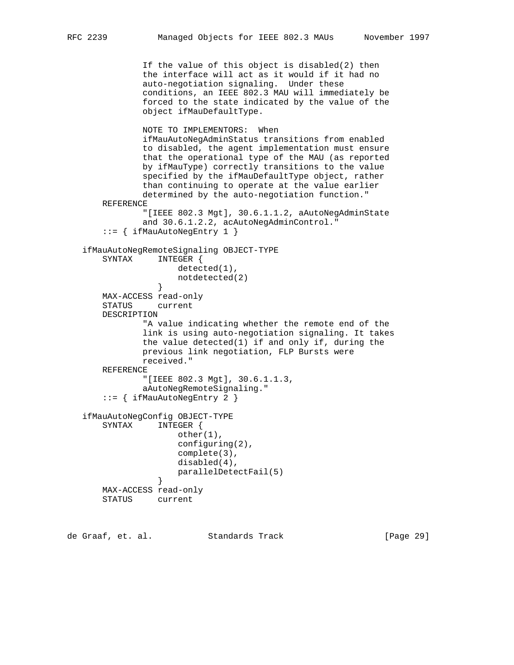```
 If the value of this object is disabled(2) then
               the interface will act as it would if it had no
               auto-negotiation signaling. Under these
               conditions, an IEEE 802.3 MAU will immediately be
               forced to the state indicated by the value of the
               object ifMauDefaultType.
               NOTE TO IMPLEMENTORS: When
               ifMauAutoNegAdminStatus transitions from enabled
               to disabled, the agent implementation must ensure
               that the operational type of the MAU (as reported
               by ifMauType) correctly transitions to the value
               specified by the ifMauDefaultType object, rather
               than continuing to operate at the value earlier
               determined by the auto-negotiation function."
       REFERENCE
               "[IEEE 802.3 Mgt], 30.6.1.1.2, aAutoNegAdminState
               and 30.6.1.2.2, acAutoNegAdminControl."
       ::= { ifMauAutoNegEntry 1 }
   ifMauAutoNegRemoteSignaling OBJECT-TYPE
       SYNTAX INTEGER {
                      detected(1),
                 notdetected(2)<br>}
 }
       MAX-ACCESS read-only
       STATUS current
       DESCRIPTION
                "A value indicating whether the remote end of the
               link is using auto-negotiation signaling. It takes
               the value detected(1) if and only if, during the
               previous link negotiation, FLP Bursts were
               received."
       REFERENCE
                "[IEEE 802.3 Mgt], 30.6.1.1.3,
               aAutoNegRemoteSignaling."
       ::= { ifMauAutoNegEntry 2 }
   ifMauAutoNegConfig OBJECT-TYPE
       SYNTAX INTEGER {
                      other(1),
                      configuring(2),
                      complete(3),
                      disabled(4),
                      parallelDetectFail(5)
 }
       MAX-ACCESS read-only
       STATUS current
```
de Graaf, et. al. Standards Track [Page 29]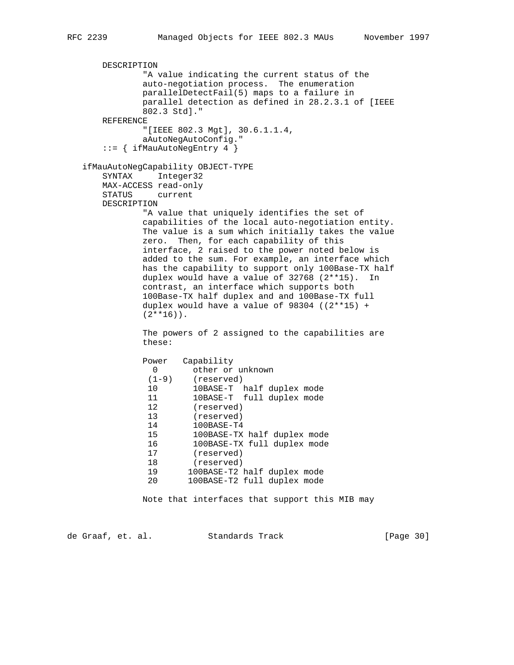```
 DESCRIPTION
            "A value indicating the current status of the
            auto-negotiation process. The enumeration
            parallelDetectFail(5) maps to a failure in
            parallel detection as defined in 28.2.3.1 of [IEEE
            802.3 Std]."
    REFERENCE
            "[IEEE 802.3 Mgt], 30.6.1.1.4,
            aAutoNegAutoConfig."
     ::= { ifMauAutoNegEntry 4 }
 ifMauAutoNegCapability OBJECT-TYPE
    SYNTAX Integer32
    MAX-ACCESS read-only
    STATUS current
    DESCRIPTION
            "A value that uniquely identifies the set of
            capabilities of the local auto-negotiation entity.
            The value is a sum which initially takes the value
            zero. Then, for each capability of this
            interface, 2 raised to the power noted below is
            added to the sum. For example, an interface which
            has the capability to support only 100Base-TX half
            duplex would have a value of 32768 (2**15). In
            contrast, an interface which supports both
            100Base-TX half duplex and and 100Base-TX full
           duplex would have a value of 98304 ((2**15) +
           (2**16).
            The powers of 2 assigned to the capabilities are
            these:
            Power Capability
             0 other or unknown
             (1-9) (reserved)
             10 10BASE-T half duplex mode
             11 10BASE-T full duplex mode
             12 (reserved)
             13 (reserved)
             14 100BASE-T4
             15 100BASE-TX half duplex mode
             16 100BASE-TX full duplex mode
             17 (reserved)
             18 (reserved)
             19 100BASE-T2 half duplex mode
             20 100BASE-T2 full duplex mode
            Note that interfaces that support this MIB may
```
de Graaf, et. al. Standards Track [Page 30]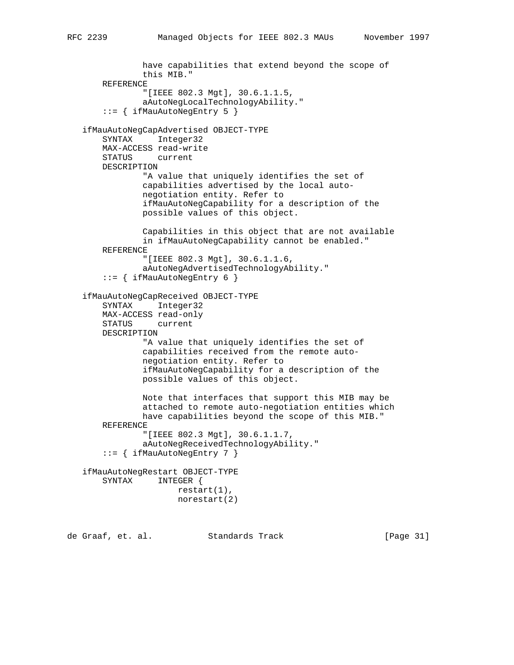```
 have capabilities that extend beyond the scope of
             this MIB."
     REFERENCE
             "[IEEE 802.3 Mgt], 30.6.1.1.5,
             aAutoNegLocalTechnologyAbility."
     ::= { ifMauAutoNegEntry 5 }
 ifMauAutoNegCapAdvertised OBJECT-TYPE
     SYNTAX Integer32
    MAX-ACCESS read-write
    STATUS current
    DESCRIPTION
             "A value that uniquely identifies the set of
             capabilities advertised by the local auto-
             negotiation entity. Refer to
             ifMauAutoNegCapability for a description of the
             possible values of this object.
             Capabilities in this object that are not available
             in ifMauAutoNegCapability cannot be enabled."
     REFERENCE
             "[IEEE 802.3 Mgt], 30.6.1.1.6,
             aAutoNegAdvertisedTechnologyAbility."
     ::= { ifMauAutoNegEntry 6 }
 ifMauAutoNegCapReceived OBJECT-TYPE
     SYNTAX Integer32
     MAX-ACCESS read-only
     STATUS current
    DESCRIPTION
             "A value that uniquely identifies the set of
             capabilities received from the remote auto-
             negotiation entity. Refer to
             ifMauAutoNegCapability for a description of the
             possible values of this object.
             Note that interfaces that support this MIB may be
             attached to remote auto-negotiation entities which
             have capabilities beyond the scope of this MIB."
     REFERENCE
             "[IEEE 802.3 Mgt], 30.6.1.1.7,
             aAutoNegReceivedTechnologyAbility."
     ::= { ifMauAutoNegEntry 7 }
 ifMauAutoNegRestart OBJECT-TYPE
     SYNTAX INTEGER {
                    restart(1),
                    norestart(2)
```
de Graaf, et. al. Standards Track [Page 31]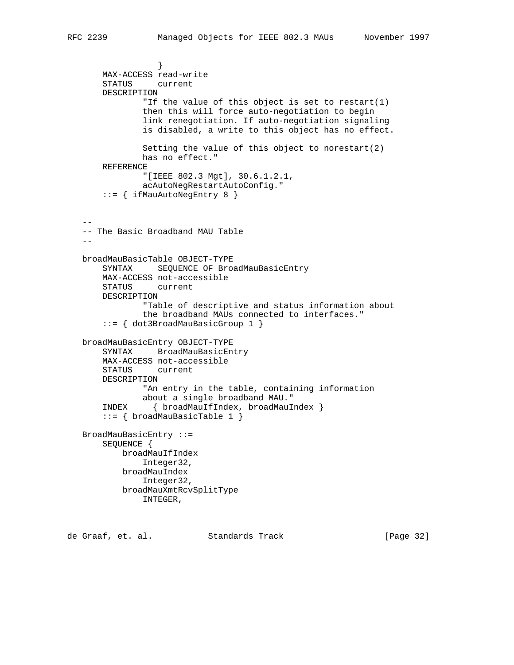```
 }
       MAX-ACCESS read-write
       STATUS current
       DESCRIPTION
               "If the value of this object is set to restart(1)
               then this will force auto-negotiation to begin
               link renegotiation. If auto-negotiation signaling
               is disabled, a write to this object has no effect.
               Setting the value of this object to norestart(2)
               has no effect."
       REFERENCE
               "[IEEE 802.3 Mgt], 30.6.1.2.1,
               acAutoNegRestartAutoConfig."
        ::= { ifMauAutoNegEntry 8 }
  - -- The Basic Broadband MAU Table
  - - broadMauBasicTable OBJECT-TYPE
       SYNTAX SEQUENCE OF BroadMauBasicEntry
       MAX-ACCESS not-accessible
       STATUS current
       DESCRIPTION
                "Table of descriptive and status information about
               the broadband MAUs connected to interfaces."
        ::= { dot3BroadMauBasicGroup 1 }
   broadMauBasicEntry OBJECT-TYPE
       SYNTAX BroadMauBasicEntry
       MAX-ACCESS not-accessible
       STATUS current
       DESCRIPTION
               "An entry in the table, containing information
               about a single broadband MAU."
       INDEX { broadMauIfIndex, broadMauIndex }
        ::= { broadMauBasicTable 1 }
   BroadMauBasicEntry ::=
       SEQUENCE {
           broadMauIfIndex
               Integer32,
           broadMauIndex
              Integer32,
           broadMauXmtRcvSplitType
               INTEGER,
```
de Graaf, et. al. Standards Track [Page 32]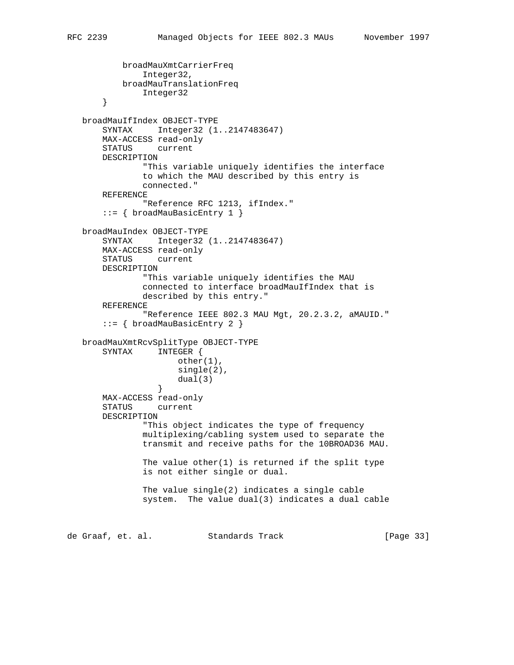```
 broadMauXmtCarrierFreq
               Integer32,
           broadMauTranslationFreq
               Integer32
        }
   broadMauIfIndex OBJECT-TYPE
       SYNTAX Integer32 (1..2147483647)
       MAX-ACCESS read-only
       STATUS current
       DESCRIPTION
               "This variable uniquely identifies the interface
               to which the MAU described by this entry is
               connected."
       REFERENCE
               "Reference RFC 1213, ifIndex."
        ::= { broadMauBasicEntry 1 }
   broadMauIndex OBJECT-TYPE
       SYNTAX Integer32 (1..2147483647)
       MAX-ACCESS read-only
       STATUS current
       DESCRIPTION
               "This variable uniquely identifies the MAU
               connected to interface broadMauIfIndex that is
               described by this entry."
       REFERENCE
               "Reference IEEE 802.3 MAU Mgt, 20.2.3.2, aMAUID."
        ::= { broadMauBasicEntry 2 }
   broadMauXmtRcvSplitType OBJECT-TYPE
       SYNTAX INTEGER {
                      other(1),
                      single(2),
                 dual(3) }
       MAX-ACCESS read-only
       STATUS current
       DESCRIPTION
               "This object indicates the type of frequency
               multiplexing/cabling system used to separate the
               transmit and receive paths for the 10BROAD36 MAU.
              The value other(1) is returned if the split type
               is not either single or dual.
               The value single(2) indicates a single cable
               system. The value dual(3) indicates a dual cable
de Graaf, et. al. Standards Track [Page 33]
```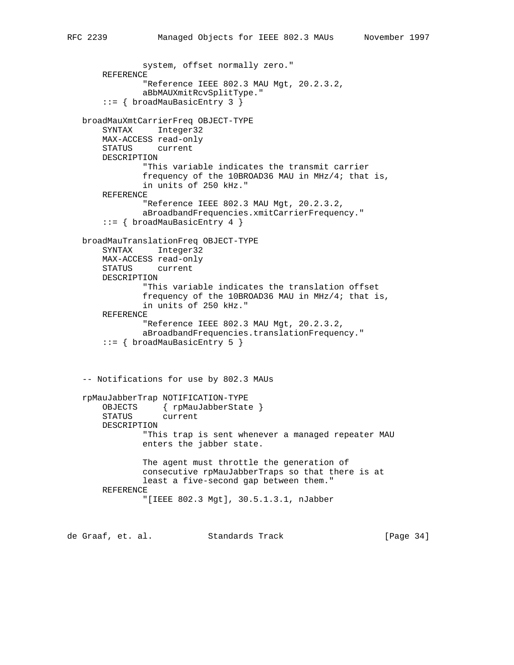```
 system, offset normally zero."
     REFERENCE
             "Reference IEEE 802.3 MAU Mgt, 20.2.3.2,
             aBbMAUXmitRcvSplitType."
     ::= { broadMauBasicEntry 3 }
 broadMauXmtCarrierFreq OBJECT-TYPE
    SYNTAX Integer32
    MAX-ACCESS read-only
    STATUS current
    DESCRIPTION
             "This variable indicates the transmit carrier
             frequency of the 10BROAD36 MAU in MHz/4; that is,
             in units of 250 kHz."
     REFERENCE
             "Reference IEEE 802.3 MAU Mgt, 20.2.3.2,
             aBroadbandFrequencies.xmitCarrierFrequency."
     ::= { broadMauBasicEntry 4 }
 broadMauTranslationFreq OBJECT-TYPE
    SYNTAX Integer32
    MAX-ACCESS read-only
    STATUS current
    DESCRIPTION
             "This variable indicates the translation offset
             frequency of the 10BROAD36 MAU in MHz/4; that is,
             in units of 250 kHz."
     REFERENCE
             "Reference IEEE 802.3 MAU Mgt, 20.2.3.2,
             aBroadbandFrequencies.translationFrequency."
     ::= { broadMauBasicEntry 5 }
 -- Notifications for use by 802.3 MAUs
 rpMauJabberTrap NOTIFICATION-TYPE
    OBJECTS { rpMauJabberState }
     STATUS current
     DESCRIPTION
             "This trap is sent whenever a managed repeater MAU
             enters the jabber state.
             The agent must throttle the generation of
             consecutive rpMauJabberTraps so that there is at
             least a five-second gap between them."
     REFERENCE
             "[IEEE 802.3 Mgt], 30.5.1.3.1, nJabber
```
de Graaf, et. al. Standards Track [Page 34]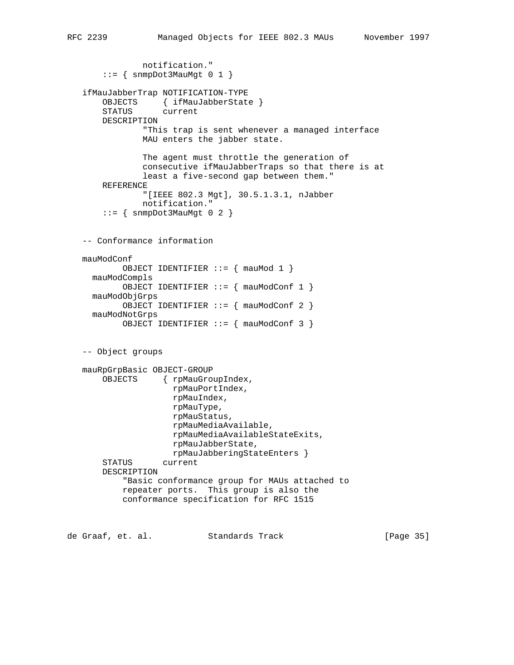```
 notification."
    ::= { snmpDot3MauMgt 0 1 }
 ifMauJabberTrap NOTIFICATION-TYPE
     OBJECTS { ifMauJabberState }
     STATUS current
     DESCRIPTION
             "This trap is sent whenever a managed interface
             MAU enters the jabber state.
             The agent must throttle the generation of
             consecutive ifMauJabberTraps so that there is at
             least a five-second gap between them."
     REFERENCE
             "[IEEE 802.3 Mgt], 30.5.1.3.1, nJabber
             notification."
    ::= { snmpDot3MauMgt 0 2 }
 -- Conformance information
 mauModConf
         OBJECT IDENTIFIER ::= { mauMod 1 }
   mauModCompls
         OBJECT IDENTIFIER ::= { mauModConf 1 }
   mauModObjGrps
         OBJECT IDENTIFIER ::= { mauModConf 2 }
   mauModNotGrps
         OBJECT IDENTIFIER ::= { mauModConf 3 }
 -- Object groups
 mauRpGrpBasic OBJECT-GROUP
     OBJECTS { rpMauGroupIndex,
                   rpMauPortIndex,
                   rpMauIndex,
                   rpMauType,
                   rpMauStatus,
                   rpMauMediaAvailable,
                   rpMauMediaAvailableStateExits,
                   rpMauJabberState,
                   rpMauJabberingStateEnters }
     STATUS current
     DESCRIPTION
         "Basic conformance group for MAUs attached to
         repeater ports. This group is also the
         conformance specification for RFC 1515
```
de Graaf, et. al. Standards Track [Page 35]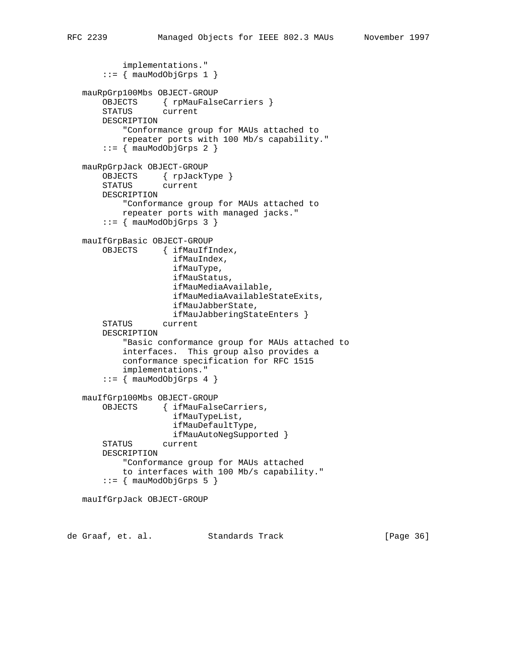```
 implementations."
    ::= { mauModObjGrps 1 }
 mauRpGrp100Mbs OBJECT-GROUP
     OBJECTS { rpMauFalseCarriers }
     STATUS current
    DESCRIPTION
         "Conformance group for MAUs attached to
         repeater ports with 100 Mb/s capability."
    ::= { mauModObjGrps 2 }
 mauRpGrpJack OBJECT-GROUP
    OBJECTS { rpJackType }
     STATUS current
     DESCRIPTION
         "Conformance group for MAUs attached to
         repeater ports with managed jacks."
    ::= { mauModObjGrps 3 }
 mauIfGrpBasic OBJECT-GROUP
     OBJECTS { ifMauIfIndex,
                   ifMauIndex,
                   ifMauType,
                   ifMauStatus,
                   ifMauMediaAvailable,
                   ifMauMediaAvailableStateExits,
                   ifMauJabberState,
                   ifMauJabberingStateEnters }
     STATUS current
     DESCRIPTION
         "Basic conformance group for MAUs attached to
         interfaces. This group also provides a
         conformance specification for RFC 1515
         implementations."
    ::= { mauModObjGrps 4 { } mauIfGrp100Mbs OBJECT-GROUP
     OBJECTS { ifMauFalseCarriers,
                   ifMauTypeList,
                   ifMauDefaultType,
                   ifMauAutoNegSupported }
     STATUS current
     DESCRIPTION
         "Conformance group for MAUs attached
         to interfaces with 100 Mb/s capability."
     ::= { mauModObjGrps 5 }
 mauIfGrpJack OBJECT-GROUP
```
de Graaf, et. al. Standards Track [Page 36]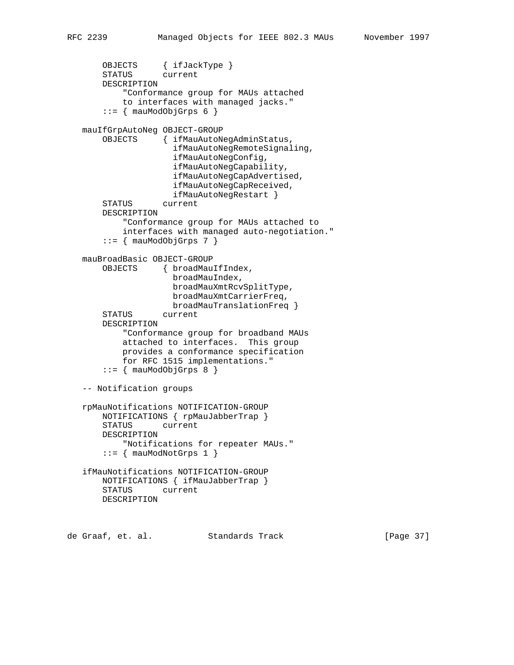```
 OBJECTS { ifJackType }
 STATUS current
       DESCRIPTION
            "Conformance group for MAUs attached
           to interfaces with managed jacks."
      ::= { mauModObjGrps 6 }
   mauIfGrpAutoNeg OBJECT-GROUP
       OBJECTS { ifMauAutoNegAdminStatus,
                     ifMauAutoNegRemoteSignaling,
                     ifMauAutoNegConfig,
                     ifMauAutoNegCapability,
                     ifMauAutoNegCapAdvertised,
                     ifMauAutoNegCapReceived,
                     ifMauAutoNegRestart }
       STATUS current
       DESCRIPTION
           "Conformance group for MAUs attached to
           interfaces with managed auto-negotiation."
      ::= { mauModObjGrps 7 }
   mauBroadBasic OBJECT-GROUP
       OBJECTS { broadMauIfIndex,
                     broadMauIndex,
                     broadMauXmtRcvSplitType,
                     broadMauXmtCarrierFreq,
                     broadMauTranslationFreq }
       STATUS current
       DESCRIPTION
           "Conformance group for broadband MAUs
           attached to interfaces. This group
           provides a conformance specification
           for RFC 1515 implementations."
       ::= { mauModObjGrps 8 { } -- Notification groups
   rpMauNotifications NOTIFICATION-GROUP
       NOTIFICATIONS { rpMauJabberTrap }
       STATUS current
       DESCRIPTION
           "Notifications for repeater MAUs."
      ::= { mauModNotGrps 1 }
   ifMauNotifications NOTIFICATION-GROUP
       NOTIFICATIONS { ifMauJabberTrap }
       STATUS current
       DESCRIPTION
```
de Graaf, et. al. Standards Track [Page 37]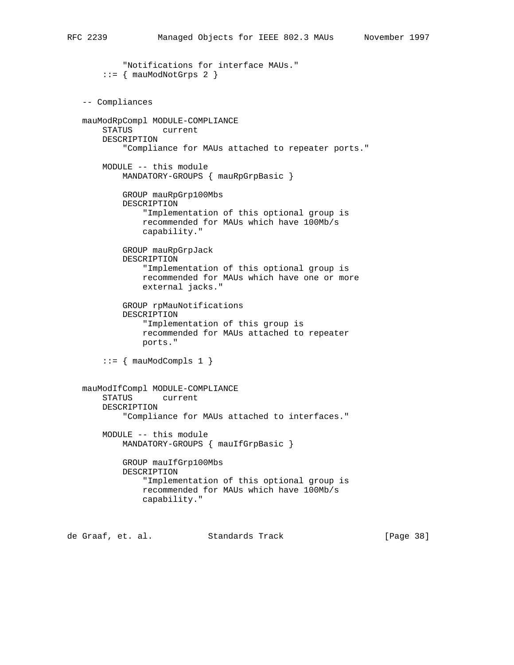"Notifications for interface MAUs."  $::=$  { mauModNotGrps 2 } -- Compliances mauModRpCompl MODULE-COMPLIANCE STATUS current DESCRIPTION "Compliance for MAUs attached to repeater ports." MODULE -- this module MANDATORY-GROUPS { mauRpGrpBasic } GROUP mauRpGrp100Mbs DESCRIPTION "Implementation of this optional group is recommended for MAUs which have 100Mb/s capability." GROUP mauRpGrpJack DESCRIPTION "Implementation of this optional group is recommended for MAUs which have one or more external jacks." GROUP rpMauNotifications DESCRIPTION "Implementation of this group is recommended for MAUs attached to repeater ports."  $::=$  { mauModCompls 1 } mauModIfCompl MODULE-COMPLIANCE STATUS current DESCRIPTION "Compliance for MAUs attached to interfaces." MODULE -- this module MANDATORY-GROUPS { mauIfGrpBasic } GROUP mauIfGrp100Mbs DESCRIPTION "Implementation of this optional group is recommended for MAUs which have 100Mb/s capability."

de Graaf, et. al. Standards Track [Page 38]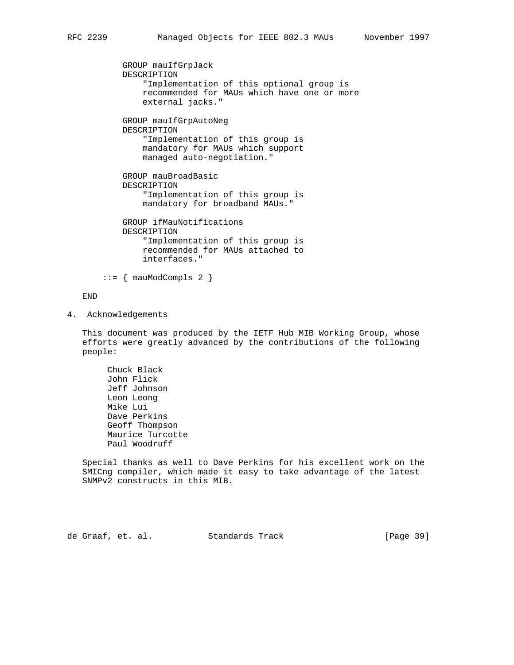GROUP mauIfGrpJack DESCRIPTION "Implementation of this optional group is recommended for MAUs which have one or more external jacks." GROUP mauIfGrpAutoNeg DESCRIPTION "Implementation of this group is mandatory for MAUs which support managed auto-negotiation." GROUP mauBroadBasic DESCRIPTION "Implementation of this group is mandatory for broadband MAUs." GROUP ifMauNotifications DESCRIPTION "Implementation of this group is recommended for MAUs attached to interfaces."

 $::=$  { mauModCompls 2 }

#### END

4. Acknowledgements

 This document was produced by the IETF Hub MIB Working Group, whose efforts were greatly advanced by the contributions of the following people:

```
 Chuck Black
 John Flick
 Jeff Johnson
 Leon Leong
 Mike Lui
 Dave Perkins
 Geoff Thompson
 Maurice Turcotte
 Paul Woodruff
```
 Special thanks as well to Dave Perkins for his excellent work on the SMICng compiler, which made it easy to take advantage of the latest SNMPv2 constructs in this MIB.

de Graaf, et. al. Standards Track [Page 39]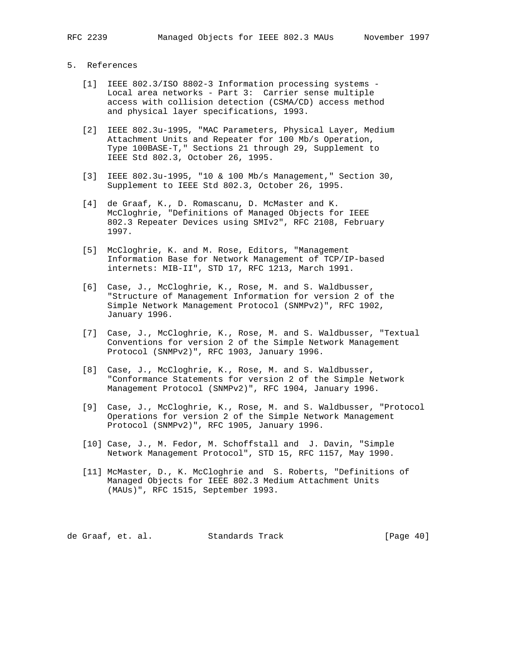# 5. References

- [1] IEEE 802.3/ISO 8802-3 Information processing systems Local area networks - Part 3: Carrier sense multiple access with collision detection (CSMA/CD) access method and physical layer specifications, 1993.
- [2] IEEE 802.3u-1995, "MAC Parameters, Physical Layer, Medium Attachment Units and Repeater for 100 Mb/s Operation, Type 100BASE-T," Sections 21 through 29, Supplement to IEEE Std 802.3, October 26, 1995.
- [3] IEEE 802.3u-1995, "10 & 100 Mb/s Management," Section 30, Supplement to IEEE Std 802.3, October 26, 1995.
- [4] de Graaf, K., D. Romascanu, D. McMaster and K. McCloghrie, "Definitions of Managed Objects for IEEE 802.3 Repeater Devices using SMIv2", RFC 2108, February 1997.
- [5] McCloghrie, K. and M. Rose, Editors, "Management Information Base for Network Management of TCP/IP-based internets: MIB-II", STD 17, RFC 1213, March 1991.
- [6] Case, J., McCloghrie, K., Rose, M. and S. Waldbusser, "Structure of Management Information for version 2 of the Simple Network Management Protocol (SNMPv2)", RFC 1902, January 1996.
- [7] Case, J., McCloghrie, K., Rose, M. and S. Waldbusser, "Textual Conventions for version 2 of the Simple Network Management Protocol (SNMPv2)", RFC 1903, January 1996.
- [8] Case, J., McCloghrie, K., Rose, M. and S. Waldbusser, "Conformance Statements for version 2 of the Simple Network Management Protocol (SNMPv2)", RFC 1904, January 1996.
- [9] Case, J., McCloghrie, K., Rose, M. and S. Waldbusser, "Protocol Operations for version 2 of the Simple Network Management Protocol (SNMPv2)", RFC 1905, January 1996.
- [10] Case, J., M. Fedor, M. Schoffstall and J. Davin, "Simple Network Management Protocol", STD 15, RFC 1157, May 1990.
- [11] McMaster, D., K. McCloghrie and S. Roberts, "Definitions of Managed Objects for IEEE 802.3 Medium Attachment Units (MAUs)", RFC 1515, September 1993.

de Graaf, et. al. Standards Track [Page 40]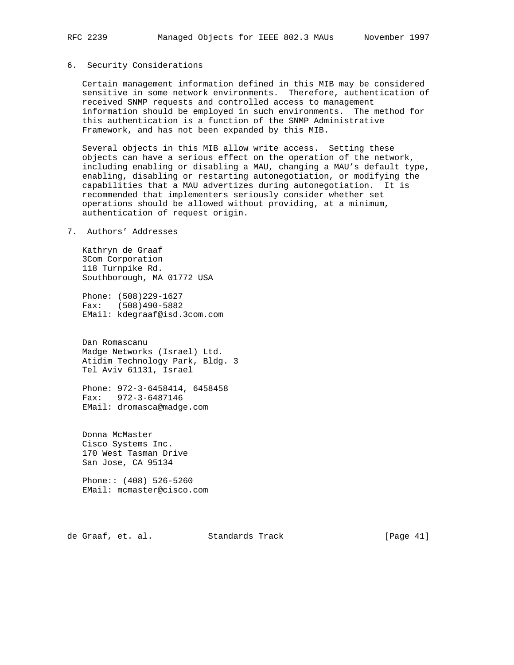## 6. Security Considerations

 Certain management information defined in this MIB may be considered sensitive in some network environments. Therefore, authentication of received SNMP requests and controlled access to management information should be employed in such environments. The method for this authentication is a function of the SNMP Administrative Framework, and has not been expanded by this MIB.

 Several objects in this MIB allow write access. Setting these objects can have a serious effect on the operation of the network, including enabling or disabling a MAU, changing a MAU's default type, enabling, disabling or restarting autonegotiation, or modifying the capabilities that a MAU advertizes during autonegotiation. It is recommended that implementers seriously consider whether set operations should be allowed without providing, at a minimum, authentication of request origin.

## 7. Authors' Addresses

 Kathryn de Graaf 3Com Corporation 118 Turnpike Rd. Southborough, MA 01772 USA

 Phone: (508)229-1627 Fax: (508)490-5882 EMail: kdegraaf@isd.3com.com

 Dan Romascanu Madge Networks (Israel) Ltd. Atidim Technology Park, Bldg. 3 Tel Aviv 61131, Israel

 Phone: 972-3-6458414, 6458458 Fax: 972-3-6487146 EMail: dromasca@madge.com

 Donna McMaster Cisco Systems Inc. 170 West Tasman Drive San Jose, CA 95134

 Phone:: (408) 526-5260 EMail: mcmaster@cisco.com

de Graaf, et. al. Standards Track [Page 41]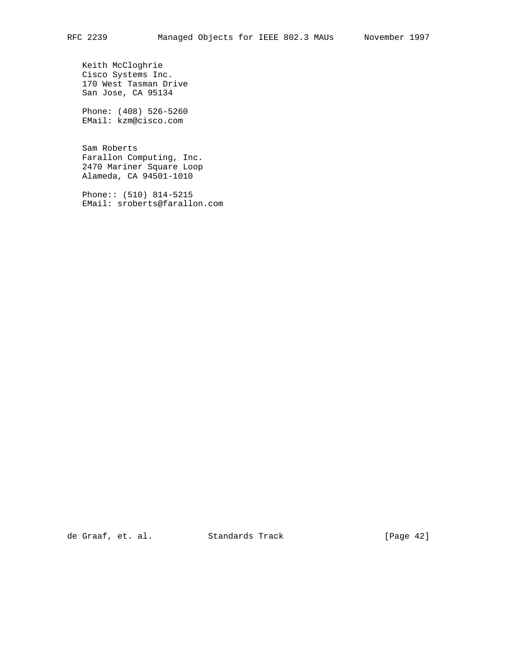Keith McCloghrie Cisco Systems Inc. 170 West Tasman Drive San Jose, CA 95134

 Phone: (408) 526-5260 EMail: kzm@cisco.com

 Sam Roberts Farallon Computing, Inc. 2470 Mariner Square Loop Alameda, CA 94501-1010

 Phone:: (510) 814-5215 EMail: sroberts@farallon.com